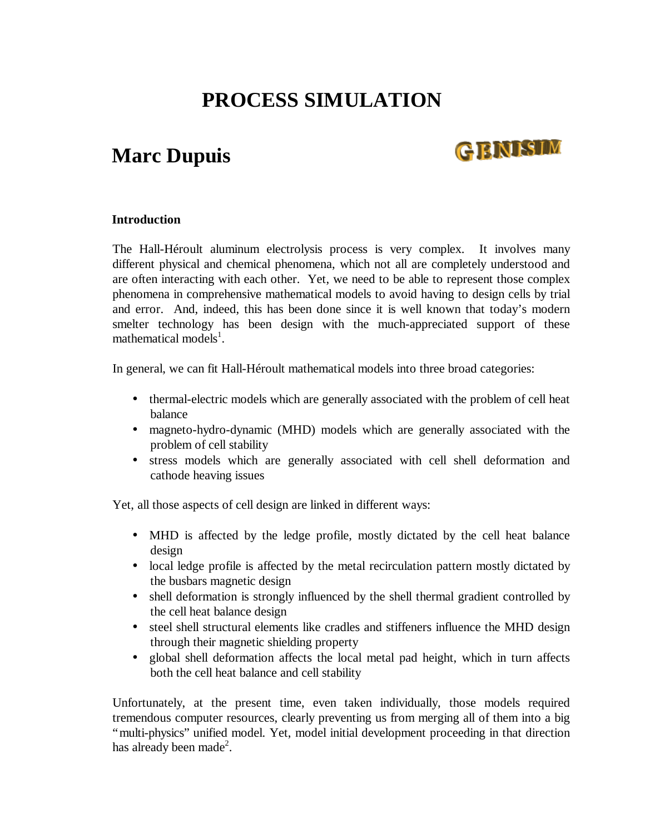# **PROCESS SIMULATION**

### **Marc Dupuis**

## GENISIM

#### **Introduction**

The Hall-Héroult aluminum electrolysis process is very complex. It involves many different physical and chemical phenomena, which not all are completely understood and are often interacting with each other. Yet, we need to be able to represent those complex phenomena in comprehensive mathematical models to avoid having to design cells by trial and error. And, indeed, this has been done since it is well known that today's modern smelter technology has been design with the much-appreciated support of these mathematical models<sup>1</sup>.

In general, we can fit Hall-Héroult mathematical models into three broad categories:

- thermal-electric models which are generally associated with the problem of cell heat balance
- magneto-hydro-dynamic (MHD) models which are generally associated with the problem of cell stability
- stress models which are generally associated with cell shell deformation and cathode heaving issues

Yet, all those aspects of cell design are linked in different ways:

- MHD is affected by the ledge profile, mostly dictated by the cell heat balance design
- local ledge profile is affected by the metal recirculation pattern mostly dictated by the busbars magnetic design
- shell deformation is strongly influenced by the shell thermal gradient controlled by the cell heat balance design
- steel shell structural elements like cradles and stiffeners influence the MHD design through their magnetic shielding property
- global shell deformation affects the local metal pad height, which in turn affects both the cell heat balance and cell stability

Unfortunately, at the present time, even taken individually, those models required tremendous computer resources, clearly preventing us from merging all of them into a big "multi-physics" unified model. Yet, model initial development proceeding in that direction has already been made<sup>2</sup>.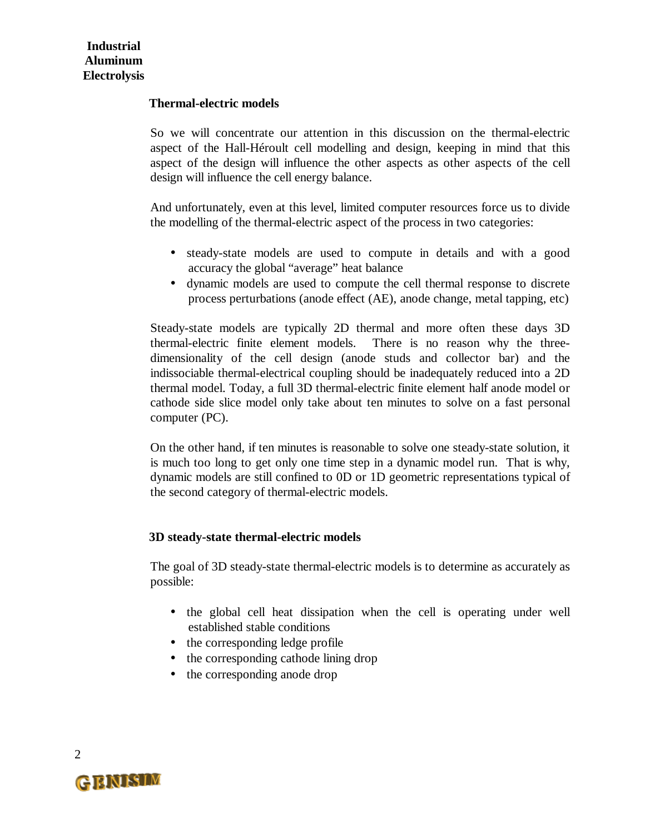#### **Thermal-electric models**

So we will concentrate our attention in this discussion on the thermal-electric aspect of the Hall-Héroult cell modelling and design, keeping in mind that this aspect of the design will influence the other aspects as other aspects of the cell design will influence the cell energy balance.

And unfortunately, even at this level, limited computer resources force us to divide the modelling of the thermal-electric aspect of the process in two categories:

- steady-state models are used to compute in details and with a good accuracy the global "average" heat balance
- dynamic models are used to compute the cell thermal response to discrete process perturbations (anode effect (AE), anode change, metal tapping, etc)

Steady-state models are typically 2D thermal and more often these days 3D thermal-electric finite element models. There is no reason why the threedimensionality of the cell design (anode studs and collector bar) and the indissociable thermal-electrical coupling should be inadequately reduced into a 2D thermal model. Today, a full 3D thermal-electric finite element half anode model or cathode side slice model only take about ten minutes to solve on a fast personal computer (PC).

On the other hand, if ten minutes is reasonable to solve one steady-state solution, it is much too long to get only one time step in a dynamic model run. That is why, dynamic models are still confined to 0D or 1D geometric representations typical of the second category of thermal-electric models.

#### **3D steady-state thermal-electric models**

The goal of 3D steady-state thermal-electric models is to determine as accurately as possible:

- the global cell heat dissipation when the cell is operating under well established stable conditions
- the corresponding ledge profile
- the corresponding cathode lining drop
- the corresponding anode drop

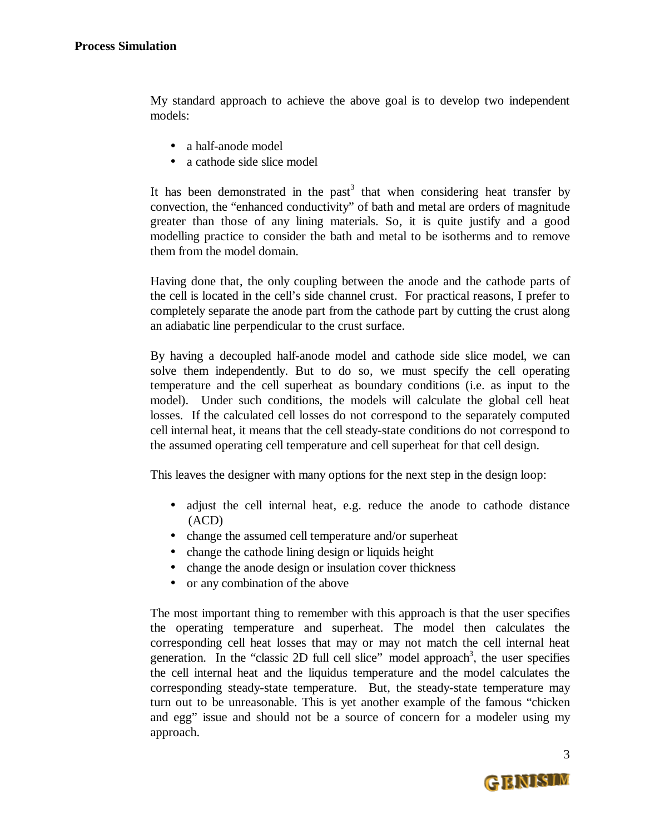My standard approach to achieve the above goal is to develop two independent models:

- a half-anode model
- a cathode side slice model

It has been demonstrated in the past<sup>3</sup> that when considering heat transfer by convection, the "enhanced conductivity" of bath and metal are orders of magnitude greater than those of any lining materials. So, it is quite justify and a good modelling practice to consider the bath and metal to be isotherms and to remove them from the model domain.

Having done that, the only coupling between the anode and the cathode parts of the cell is located in the cell's side channel crust. For practical reasons, I prefer to completely separate the anode part from the cathode part by cutting the crust along an adiabatic line perpendicular to the crust surface.

By having a decoupled half-anode model and cathode side slice model, we can solve them independently. But to do so, we must specify the cell operating temperature and the cell superheat as boundary conditions (i.e. as input to the model). Under such conditions, the models will calculate the global cell heat losses. If the calculated cell losses do not correspond to the separately computed cell internal heat, it means that the cell steady-state conditions do not correspond to the assumed operating cell temperature and cell superheat for that cell design.

This leaves the designer with many options for the next step in the design loop:

- adjust the cell internal heat, e.g. reduce the anode to cathode distance (ACD)
- change the assumed cell temperature and/or superheat
- change the cathode lining design or liquids height
- change the anode design or insulation cover thickness
- or any combination of the above

The most important thing to remember with this approach is that the user specifies the operating temperature and superheat. The model then calculates the corresponding cell heat losses that may or may not match the cell internal heat generation. In the "classic 2D full cell slice" model approach<sup>3</sup>, the user specifies the cell internal heat and the liquidus temperature and the model calculates the corresponding steady-state temperature. But, the steady-state temperature may turn out to be unreasonable. This is yet another example of the famous "chicken and egg" issue and should not be a source of concern for a modeler using my approach.

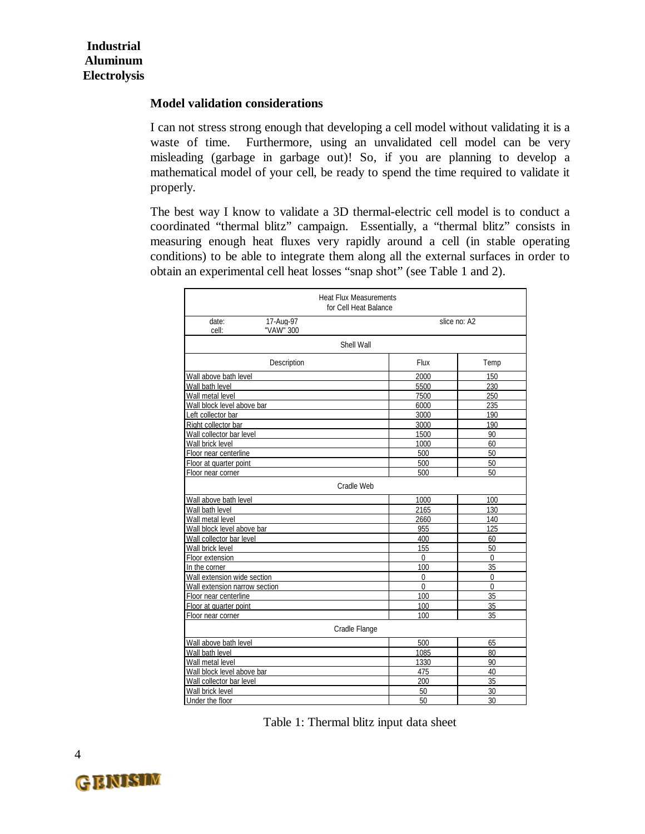#### **Model validation considerations**

I can not stress strong enough that developing a cell model without validating it is a waste of time. Furthermore, using an unvalidated cell model can be very misleading (garbage in garbage out)! So, if you are planning to develop a mathematical model of your cell, be ready to spend the time required to validate it properly.

The best way I know to validate a 3D thermal-electric cell model is to conduct a coordinated "thermal blitz" campaign. Essentially, a "thermal blitz" consists in measuring enough heat fluxes very rapidly around a cell (in stable operating conditions) to be able to integrate them along all the external surfaces in order to obtain an experimental cell heat losses "snap shot" (see Table 1 and 2).

|                                          | <b>Heat Flux Measurements</b><br>for Cell Heat Balance |                |  |  |  |
|------------------------------------------|--------------------------------------------------------|----------------|--|--|--|
| 17-Aug-97<br>date:<br>cell:<br>"VAW" 300 |                                                        | slice no: A2   |  |  |  |
|                                          | Shell Wall                                             |                |  |  |  |
| Description                              | Flux                                                   | Temp           |  |  |  |
| Wall above bath level                    | 2000                                                   | 150            |  |  |  |
| Wall bath level                          | 5500                                                   | 230            |  |  |  |
| Wall metal level                         | 7500                                                   | 250            |  |  |  |
| Wall block level above bar               | 6000                                                   | 235            |  |  |  |
| Left collector bar                       | 3000                                                   | 190            |  |  |  |
| Right collector bar                      | 3000                                                   | 190            |  |  |  |
| Wall collector bar level                 | 1500                                                   | 90             |  |  |  |
| Wall brick level                         | 1000                                                   | 60             |  |  |  |
| Floor near centerline                    | 500                                                    | 50             |  |  |  |
| Floor at quarter point                   | 500                                                    | 50             |  |  |  |
| Floor near corner                        | 500                                                    | 50             |  |  |  |
|                                          | Cradle Web                                             |                |  |  |  |
| Wall above bath level                    | 1000                                                   | 100            |  |  |  |
| Wall bath level                          | 2165                                                   | 130            |  |  |  |
| Wall metal level                         | 2660                                                   | 140            |  |  |  |
| Wall block level above bar               | 955                                                    | 125            |  |  |  |
| Wall collector bar level                 | 400                                                    | 60             |  |  |  |
| Wall brick level                         | 155                                                    | 50             |  |  |  |
| Floor extension                          | $\overline{0}$                                         | $\overline{0}$ |  |  |  |
| In the corner                            | 100                                                    | 35             |  |  |  |
| Wall extension wide section              | 0                                                      | $\Omega$       |  |  |  |
| Wall extension narrow section            | $\Omega$                                               | $\Omega$       |  |  |  |
| Floor near centerline                    | 100                                                    | 35             |  |  |  |
| Floor at quarter point                   | 100                                                    | 35             |  |  |  |
| Floor near corner                        | 100                                                    | 35             |  |  |  |
|                                          | Cradle Flange                                          |                |  |  |  |
| Wall above bath level                    | 500                                                    | 65             |  |  |  |
| Wall bath level                          | 1085                                                   | 80             |  |  |  |
| Wall metal level                         | 1330                                                   | 90             |  |  |  |
| Wall block level above bar               | 475                                                    | 40             |  |  |  |
| Wall collector bar level                 | 200                                                    | 35             |  |  |  |
| Wall brick level                         | 50                                                     | 30             |  |  |  |
| Under the floor                          | 50                                                     | 30             |  |  |  |

Table 1: Thermal blitz input data sheet

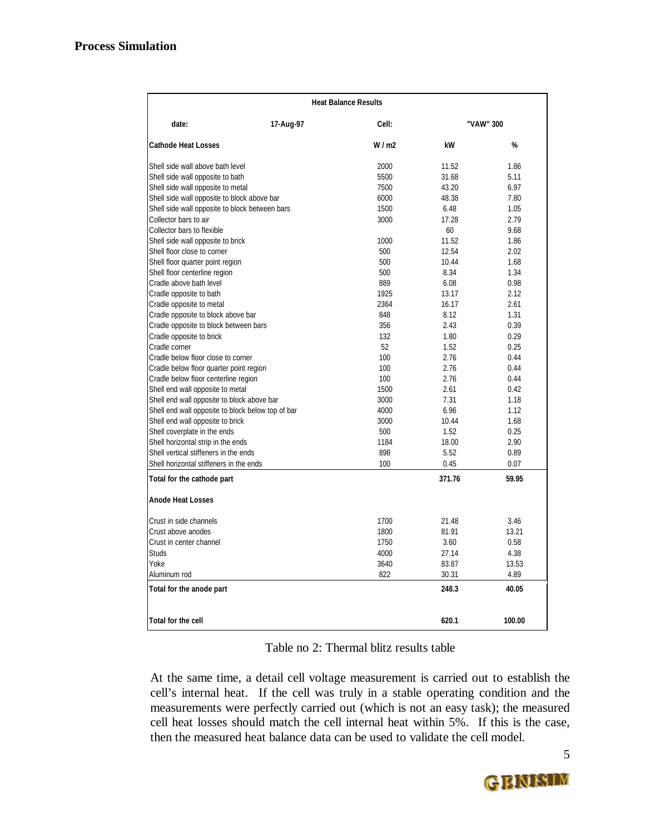| <b>Heat Balance Results</b>                       |           |       |           |        |  |
|---------------------------------------------------|-----------|-------|-----------|--------|--|
| date:                                             | 17-Aug-97 | Cell: | "VAW" 300 |        |  |
| <b>Cathode Heat Losses</b>                        |           | W/m2  | kW        | %      |  |
| Shell side wall above bath level                  |           | 2000  | 11.52     | 1.86   |  |
| Shell side wall opposite to bath                  |           | 5500  | 31.68     | 5.11   |  |
| Shell side wall opposite to metal                 |           | 7500  | 43.20     | 6.97   |  |
| Shell side wall opposite to block above bar       |           | 6000  | 48.38     | 7.80   |  |
| Shell side wall opposite to block between bars    |           | 1500  | 6.48      | 1.05   |  |
| Collector bars to air                             |           | 3000  | 17.28     | 2.79   |  |
| Collector bars to flexible                        |           |       | 60        | 9.68   |  |
| Shell side wall opposite to brick                 |           | 1000  | 11.52     | 1.86   |  |
| Shell floor close to corner                       |           | 500   | 12.54     | 2.02   |  |
| Shell floor quarter point region                  |           | 500   | 10.44     | 1.68   |  |
| Shell floor centerline region                     |           | 500   | 8.34      | 1.34   |  |
| Cradle above bath level                           |           | 889   | 6.08      | 0.98   |  |
| Cradle opposite to bath                           |           | 1925  | 13.17     | 2.12   |  |
| Cradle opposite to metal                          |           | 2364  | 16.17     | 2.61   |  |
| Cradle opposite to block above bar                |           | 848   | 8.12      | 1.31   |  |
| Cradle opposite to block between bars             |           | 356   | 2.43      | 0.39   |  |
| Cradle opposite to brick                          |           | 132   | 1.80      | 0.29   |  |
| Cradle corner                                     |           | 52    | 1.52      | 0.25   |  |
| Cradle below floor close to corner                |           | 100   | 2.76      | 0.44   |  |
| Cradle below floor quarter point region           |           | 100   | 2.76      | 0.44   |  |
| Cradle below floor centerline region              |           | 100   | 2.76      | 0.44   |  |
| Shell end wall opposite to metal                  |           | 1500  | 2.61      | 0.42   |  |
| Shell end wall opposite to block above bar        |           | 3000  | 7.31      | 1.18   |  |
| Shell end wall opposite to block below top of bar |           | 4000  | 6.96      | 1.12   |  |
| Shell end wall opposite to brick                  |           | 3000  | 10.44     | 1.68   |  |
| Shell coverplate in the ends                      |           | 500   | 1.52      | 0.25   |  |
| Shell horizontal strip in the ends                |           | 1184  | 18.00     | 2.90   |  |
| Shell vertical stiffeners in the ends             |           | 898   | 5.52      | 0.89   |  |
| Shell horizontal stiffeners in the ends           |           | 100   | 0.45      | 0.07   |  |
| Total for the cathode part                        |           |       | 371.76    | 59.95  |  |
| <b>Anode Heat Losses</b>                          |           |       |           |        |  |
| Crust in side channels                            |           | 1700  | 21.48     | 3.46   |  |
| Crust above anodes                                |           | 1800  | 81.91     | 13.21  |  |
| Crust in center channel                           |           | 1750  | 3.60      | 0.58   |  |
| Studs                                             |           | 4000  | 27.14     | 4.38   |  |
| Yoke                                              |           | 3640  | 83.87     | 13.53  |  |
| Aluminum rod                                      |           | 822   | 30.31     | 4.89   |  |
| Total for the anode part                          |           |       | 248.3     | 40.05  |  |
|                                                   |           |       |           |        |  |
| Total for the cell                                |           |       | 620.1     | 100.00 |  |

#### Table no 2: Thermal blitz results table

At the same time, a detail cell voltage measurement is carried out to establish the cell's internal heat. If the cell was truly in a stable operating condition and the measurements were perfectly carried out (which is not an easy task); the measured cell heat losses should match the cell internal heat within 5%. If this is the case, then the measured heat balance data can be used to validate the cell model.

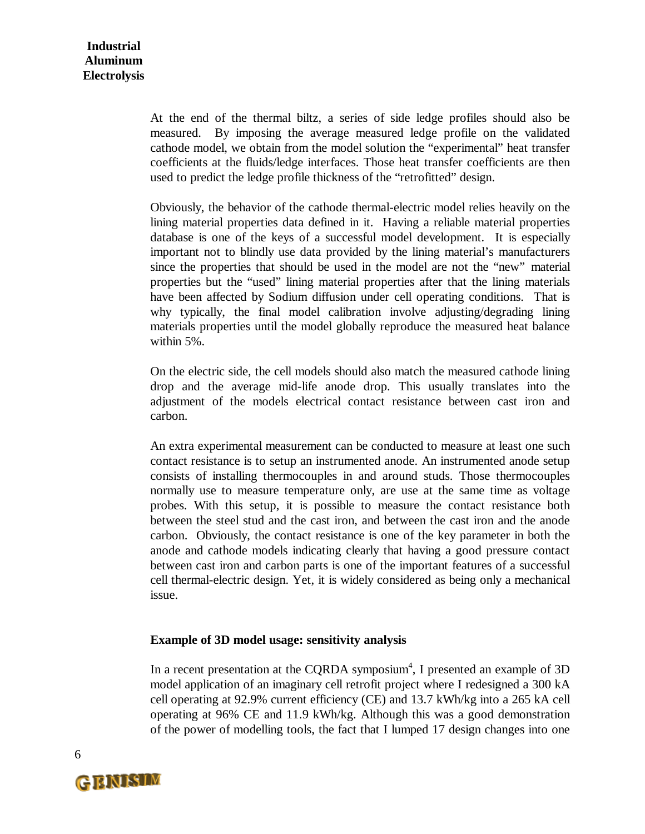At the end of the thermal biltz, a series of side ledge profiles should also be measured. By imposing the average measured ledge profile on the validated cathode model, we obtain from the model solution the "experimental" heat transfer coefficients at the fluids/ledge interfaces. Those heat transfer coefficients are then used to predict the ledge profile thickness of the "retrofitted" design.

Obviously, the behavior of the cathode thermal-electric model relies heavily on the lining material properties data defined in it. Having a reliable material properties database is one of the keys of a successful model development. It is especially important not to blindly use data provided by the lining material's manufacturers since the properties that should be used in the model are not the "new" material properties but the "used" lining material properties after that the lining materials have been affected by Sodium diffusion under cell operating conditions. That is why typically, the final model calibration involve adjusting/degrading lining materials properties until the model globally reproduce the measured heat balance within 5%.

On the electric side, the cell models should also match the measured cathode lining drop and the average mid-life anode drop. This usually translates into the adjustment of the models electrical contact resistance between cast iron and carbon.

An extra experimental measurement can be conducted to measure at least one such contact resistance is to setup an instrumented anode. An instrumented anode setup consists of installing thermocouples in and around studs. Those thermocouples normally use to measure temperature only, are use at the same time as voltage probes. With this setup, it is possible to measure the contact resistance both between the steel stud and the cast iron, and between the cast iron and the anode carbon. Obviously, the contact resistance is one of the key parameter in both the anode and cathode models indicating clearly that having a good pressure contact between cast iron and carbon parts is one of the important features of a successful cell thermal-electric design. Yet, it is widely considered as being only a mechanical issue.

#### **Example of 3D model usage: sensitivity analysis**

In a recent presentation at the CQRDA symposium<sup>4</sup>, I presented an example of 3D model application of an imaginary cell retrofit project where I redesigned a 300 kA cell operating at 92.9% current efficiency (CE) and 13.7 kWh/kg into a 265 kA cell operating at 96% CE and 11.9 kWh/kg. Although this was a good demonstration of the power of modelling tools, the fact that I lumped 17 design changes into one

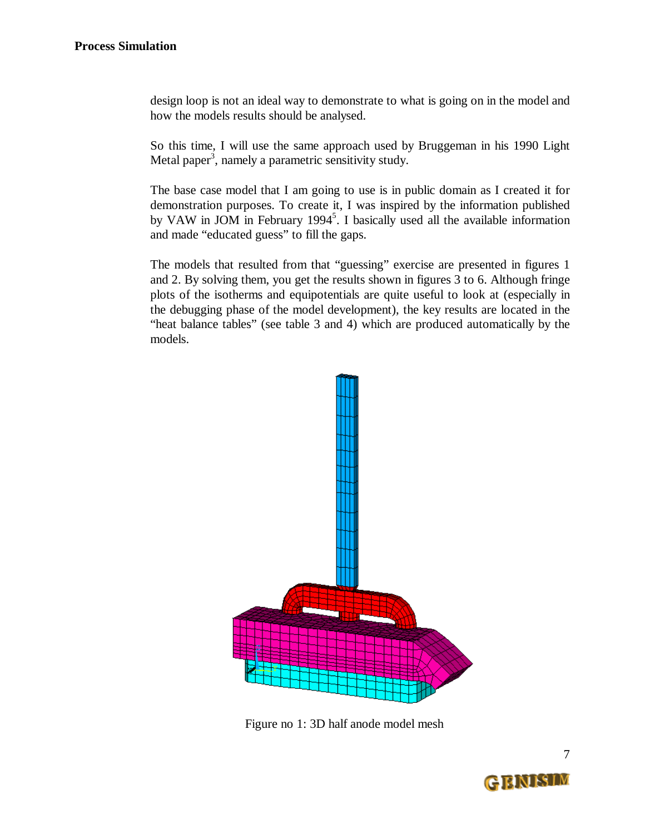design loop is not an ideal way to demonstrate to what is going on in the model and how the models results should be analysed.

So this time, I will use the same approach used by Bruggeman in his 1990 Light Metal paper<sup>3</sup>, namely a parametric sensitivity study.

The base case model that I am going to use is in public domain as I created it for demonstration purposes. To create it, I was inspired by the information published by VAW in JOM in February 1994<sup>5</sup>. I basically used all the available information and made "educated guess" to fill the gaps.

The models that resulted from that "guessing" exercise are presented in figures 1 and 2. By solving them, you get the results shown in figures 3 to 6. Although fringe plots of the isotherms and equipotentials are quite useful to look at (especially in the debugging phase of the model development), the key results are located in the "heat balance tables" (see table 3 and 4) which are produced automatically by the models.



Figure no 1: 3D half anode model mesh

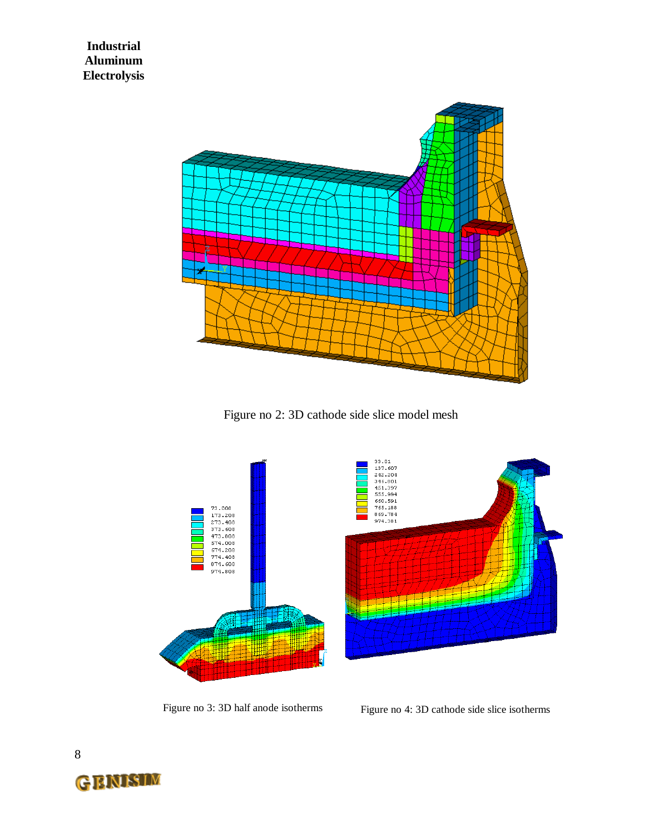

Figure no 2: 3D cathode side slice model mesh



Figure no 3: 3D half anode isotherms Figure no 4: 3D cathode side slice isotherms

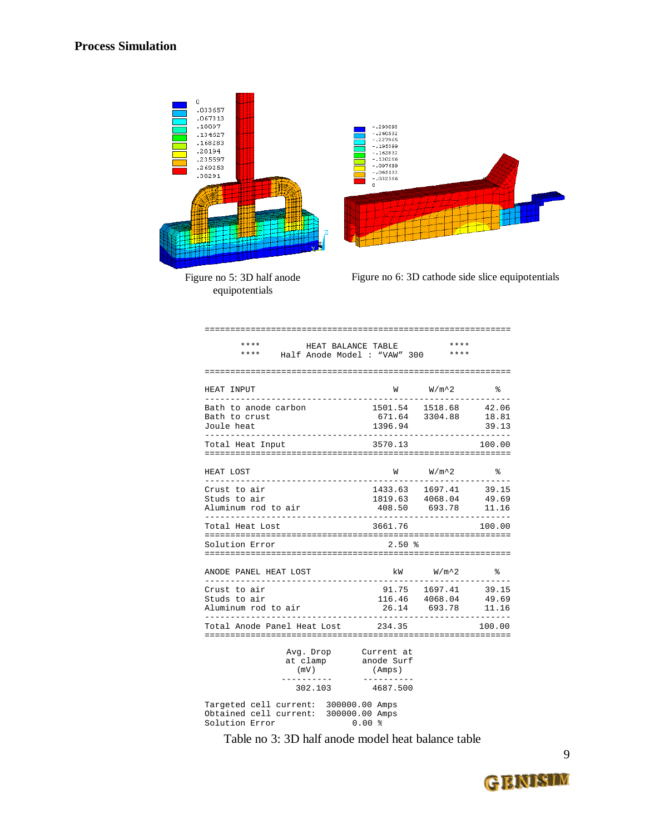

Figure no 5: 3D half anode equipotentials

Figure no 6: 3D cathode side slice equipotentials

| $***$<br>$***$                                      | HEAT BALANCE TABLE<br>Half Anode Model : "VAW" 300 |         | ****<br>****                                                                                                                                                                                                                                                                                                                              |                         |
|-----------------------------------------------------|----------------------------------------------------|---------|-------------------------------------------------------------------------------------------------------------------------------------------------------------------------------------------------------------------------------------------------------------------------------------------------------------------------------------------|-------------------------|
| HEAT INPUT                                          |                                                    | W       | $W/m^2$                                                                                                                                                                                                                                                                                                                                   | ႜ                       |
| Bath to anode carbon<br>Bath to crust<br>Joule heat |                                                    | 1396.94 | 1501.54 1518.68<br>671.64 3304.88                                                                                                                                                                                                                                                                                                         | 42.06<br>18.81<br>39.13 |
| Total Heat Input                                    |                                                    | 3570.13 |                                                                                                                                                                                                                                                                                                                                           | 100.00                  |
| $\ldots$                                            |                                                    |         | $\mathbf{r}$ , $\mathbf{r}$ , $\mathbf{r}$ , $\mathbf{r}$ , $\mathbf{r}$ , $\mathbf{r}$ , $\mathbf{r}$ , $\mathbf{r}$ , $\mathbf{r}$ , $\mathbf{r}$ , $\mathbf{r}$ , $\mathbf{r}$ , $\mathbf{r}$ , $\mathbf{r}$ , $\mathbf{r}$ , $\mathbf{r}$ , $\mathbf{r}$ , $\mathbf{r}$ , $\mathbf{r}$ , $\mathbf{r}$ , $\mathbf{r}$ , $\mathbf{r}$ , | $\sim$ $\sim$ $\sim$    |

============================================================

| HEAT LOST                                           | W       | $W/m^2$                                                                                    | ွေ                      |
|-----------------------------------------------------|---------|--------------------------------------------------------------------------------------------|-------------------------|
| Crust to air<br>Studs to air<br>Aluminum rod to air |         | 1433.63 1697.41<br>1819.63 4068.04<br>408.50 693.78<br>___________________________________ | 39.15<br>49.69<br>11.16 |
| Total Heat Lost                                     | 3661.76 |                                                                                            | 100.00                  |
| Solution Error                                      | $2.50*$ |                                                                                            |                         |
| ANODE PANEL HEAT LOST                               |         | kW W/m^2                                                                                   | $\approx$               |
| Crust to air<br>Studs to air<br>Aluminum rod to air |         | 91.75 1697.41<br>116.46 4068.04<br>26.14 693.78                                            | 39.15<br>49.69<br>11.16 |
| Total Anode Panel Heat Lost 234.35                  |         |                                                                                            | 100.00                  |

|                                          | Avg. Drop<br>at clamp<br>(mV) |                                  |            | Current at<br>anode Surf<br>(Amps) |
|------------------------------------------|-------------------------------|----------------------------------|------------|------------------------------------|
|                                          | 302.103                       |                                  |            | 4687.500                           |
| Tarqeted cell current:<br>Solution Error | Obtained cell current:        | 300000.00 Amps<br>300000.00 Amps | $0.00$ $%$ |                                    |

Table no 3: 3D half anode model heat balance table

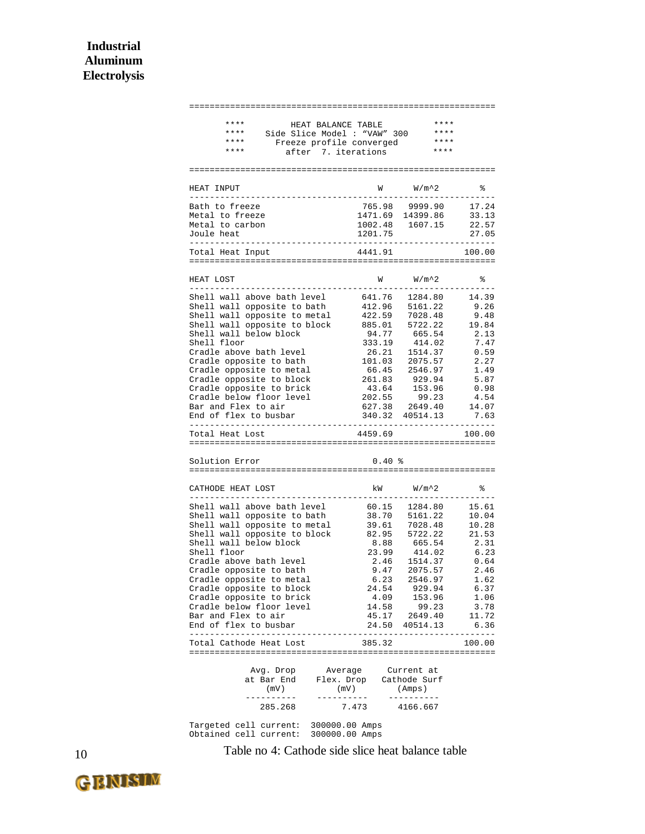| ****<br>HEAT BALANCE TABLE<br>* * * *<br>Side Slice Model : "VAW" 300<br>Freeze profile converged<br>* * * *<br>****<br>after 7. iterations |                                                                                                                                                                                                                                                                                                                                                                                                                                                                                       | ****<br>****<br>****<br>**** |                |
|---------------------------------------------------------------------------------------------------------------------------------------------|---------------------------------------------------------------------------------------------------------------------------------------------------------------------------------------------------------------------------------------------------------------------------------------------------------------------------------------------------------------------------------------------------------------------------------------------------------------------------------------|------------------------------|----------------|
|                                                                                                                                             |                                                                                                                                                                                                                                                                                                                                                                                                                                                                                       |                              |                |
| HEAT INPUT                                                                                                                                  | W                                                                                                                                                                                                                                                                                                                                                                                                                                                                                     | $W/m^2$                      | နွ             |
| Bath to freeze                                                                                                                              | 765.98                                                                                                                                                                                                                                                                                                                                                                                                                                                                                | 9999.90                      | 17.24          |
| Metal to freeze                                                                                                                             | 1471.69                                                                                                                                                                                                                                                                                                                                                                                                                                                                               | 14399.86                     | 33.13          |
| Metal to carbon<br>Joule heat                                                                                                               | 1002.48<br>1201.75                                                                                                                                                                                                                                                                                                                                                                                                                                                                    | 1607.15                      | 22.57<br>27.05 |
| . <u>.</u><br>Total Heat Input                                                                                                              | $\frac{1}{2} \left( \frac{1}{2} \right) \left( \frac{1}{2} \right) \left( \frac{1}{2} \right) \left( \frac{1}{2} \right) \left( \frac{1}{2} \right) \left( \frac{1}{2} \right) \left( \frac{1}{2} \right) \left( \frac{1}{2} \right) \left( \frac{1}{2} \right) \left( \frac{1}{2} \right) \left( \frac{1}{2} \right) \left( \frac{1}{2} \right) \left( \frac{1}{2} \right) \left( \frac{1}{2} \right) \left( \frac{1}{2} \right) \left( \frac{1}{2} \right) \left( \frac$<br>4441.91 |                              | .<br>100.00    |
|                                                                                                                                             |                                                                                                                                                                                                                                                                                                                                                                                                                                                                                       |                              |                |
| HEAT LOST                                                                                                                                   | W                                                                                                                                                                                                                                                                                                                                                                                                                                                                                     | $W/m^2$                      | နွ             |
| Shell wall above bath level                                                                                                                 | 641.76                                                                                                                                                                                                                                                                                                                                                                                                                                                                                | 1284.80                      | 14.39          |
| Shell wall opposite to bath                                                                                                                 | 412.96                                                                                                                                                                                                                                                                                                                                                                                                                                                                                | 5161.22                      | 9.26           |
| Shell wall opposite to metal<br>Shell wall opposite to block                                                                                | 422.59<br>885.01                                                                                                                                                                                                                                                                                                                                                                                                                                                                      | 7028.48<br>5722.22           | 9.48<br>19.84  |
| Shell wall below block                                                                                                                      | 94.77                                                                                                                                                                                                                                                                                                                                                                                                                                                                                 | 665.54                       | 2.13           |
| Shell floor                                                                                                                                 | 333.19                                                                                                                                                                                                                                                                                                                                                                                                                                                                                | 414.02                       | 7.47           |
| Cradle above bath level                                                                                                                     | 26.21                                                                                                                                                                                                                                                                                                                                                                                                                                                                                 | 1514.37                      | 0.59           |
| Cradle opposite to bath                                                                                                                     | 101.03                                                                                                                                                                                                                                                                                                                                                                                                                                                                                | 2075.57                      | 2.27           |
| Cradle opposite to metal<br>Cradle opposite to block                                                                                        | 66.45<br>261.83                                                                                                                                                                                                                                                                                                                                                                                                                                                                       | 2546.97<br>929.94            | 1.49<br>5.87   |
| Cradle opposite to brick                                                                                                                    | 43.64                                                                                                                                                                                                                                                                                                                                                                                                                                                                                 | 153.96                       | 0.98           |
| Cradle below floor level                                                                                                                    | 202.55                                                                                                                                                                                                                                                                                                                                                                                                                                                                                | 99.23                        | 4.54           |
| Bar and Flex to air<br>End of flex to busbar                                                                                                | 627.38<br>340.32                                                                                                                                                                                                                                                                                                                                                                                                                                                                      | 2649.40<br>40514.13          | 14.07<br>7.63  |
| Total Heat Lost                                                                                                                             | 4459.69                                                                                                                                                                                                                                                                                                                                                                                                                                                                               |                              | 100.00         |
|                                                                                                                                             |                                                                                                                                                                                                                                                                                                                                                                                                                                                                                       |                              |                |
| Solution Error<br>================<br>====================================                                                                  | 0.40%                                                                                                                                                                                                                                                                                                                                                                                                                                                                                 |                              |                |
| CATHODE HEAT LOST                                                                                                                           | kW                                                                                                                                                                                                                                                                                                                                                                                                                                                                                    | $W/m^2$                      | ႜ              |
| Shell wall above bath level                                                                                                                 | 60.15                                                                                                                                                                                                                                                                                                                                                                                                                                                                                 | 1284.80                      | 15.61          |
| Shell wall opposite to bath                                                                                                                 | 38.70                                                                                                                                                                                                                                                                                                                                                                                                                                                                                 | 5161.22                      | 10.04          |
| Shell wall opposite to metal                                                                                                                | 39.61                                                                                                                                                                                                                                                                                                                                                                                                                                                                                 | 7028.48                      | 10.28          |
| Shell wall opposite to block                                                                                                                | 82.95                                                                                                                                                                                                                                                                                                                                                                                                                                                                                 | 5722.22                      | 21.53          |
| Shell wall below block<br>Shell floor                                                                                                       | 8.88<br>23.99                                                                                                                                                                                                                                                                                                                                                                                                                                                                         | 665.54<br>414.02             | 2.31<br>6.23   |
| Cradle above bath level                                                                                                                     | 2.46                                                                                                                                                                                                                                                                                                                                                                                                                                                                                  | 1514.37                      | 0.64           |
| Cradle opposite to bath                                                                                                                     | 9.47                                                                                                                                                                                                                                                                                                                                                                                                                                                                                  | 2075.57                      | 2.46           |
| Cradle opposite to metal                                                                                                                    | 6.23                                                                                                                                                                                                                                                                                                                                                                                                                                                                                  | 2546.97                      | 1.62           |
| Cradle opposite to block<br>Cradle opposite to brick                                                                                        | 24.54<br>4.09                                                                                                                                                                                                                                                                                                                                                                                                                                                                         | 929.94<br>153.96             | 6.37<br>1.06   |
| Cradle below floor level                                                                                                                    | 14.58                                                                                                                                                                                                                                                                                                                                                                                                                                                                                 | 99.23                        | 3.78           |
| Bar and Flex to air                                                                                                                         | 45.17                                                                                                                                                                                                                                                                                                                                                                                                                                                                                 | 2649.40                      | 11.72          |
| End of flex to busbar                                                                                                                       | 24.50                                                                                                                                                                                                                                                                                                                                                                                                                                                                                 | 40514.13                     | 6.36           |
| Total Cathode Heat Lost                                                                                                                     | 385.32                                                                                                                                                                                                                                                                                                                                                                                                                                                                                |                              | 100.00         |
| Avg. Drop<br>Average                                                                                                                        |                                                                                                                                                                                                                                                                                                                                                                                                                                                                                       | Current at                   |                |
| at Bar End<br>Flex. Drop                                                                                                                    |                                                                                                                                                                                                                                                                                                                                                                                                                                                                                       | Cathode Surf                 |                |
| (mV)<br>------                                                                                                                              | (mV)<br>-------                                                                                                                                                                                                                                                                                                                                                                                                                                                                       | (Amps)<br>--------           |                |
| 285.268                                                                                                                                     | 7.473                                                                                                                                                                                                                                                                                                                                                                                                                                                                                 | 4166.667                     |                |
| Targeted cell current:<br>300000.00 Amps                                                                                                    |                                                                                                                                                                                                                                                                                                                                                                                                                                                                                       |                              |                |
| Obtained cell current:<br>300000.00 Amps                                                                                                    |                                                                                                                                                                                                                                                                                                                                                                                                                                                                                       |                              |                |

10 Table no 4: Cathode side slice heat balance table

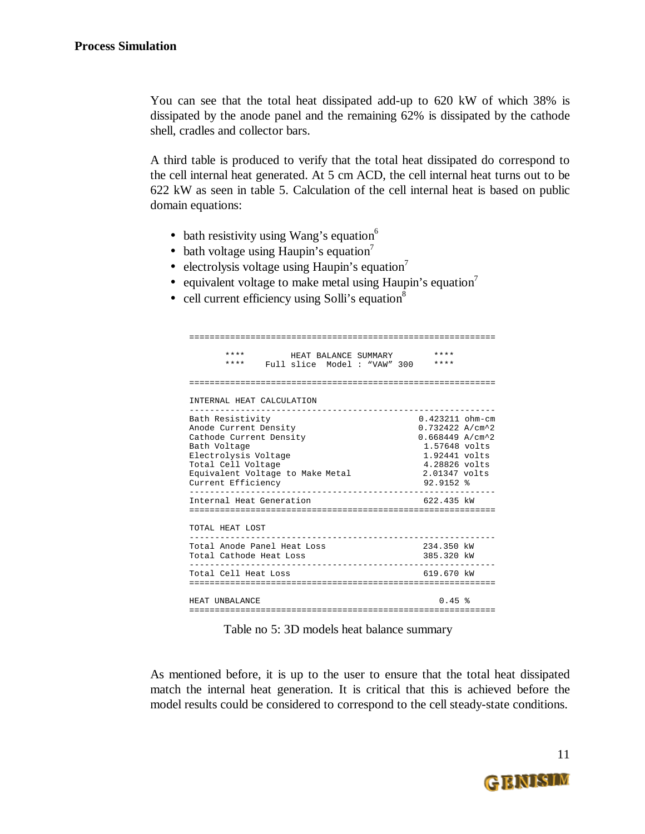You can see that the total heat dissipated add-up to 620 kW of which 38% is dissipated by the anode panel and the remaining 62% is dissipated by the cathode shell, cradles and collector bars.

A third table is produced to verify that the total heat dissipated do correspond to the cell internal heat generated. At 5 cm ACD, the cell internal heat turns out to be 622 kW as seen in table 5. Calculation of the cell internal heat is based on public domain equations:

- bath resistivity using Wang's equation $6$
- bath voltage using Haupin's equation<sup>7</sup>
- electrolysis voltage using Haupin's equation<sup>7</sup>
- equivalent voltage to make metal using Haupin's equation<sup>7</sup>
- cell current efficiency using Solli's equation $8$

| ****<br>****                                                                                                                                                                                 | HEAT BALANCE SUMMARY<br>Full slice Model : "VAW" 300 |  | ****<br>****                                                                                                                                                  |
|----------------------------------------------------------------------------------------------------------------------------------------------------------------------------------------------|------------------------------------------------------|--|---------------------------------------------------------------------------------------------------------------------------------------------------------------|
|                                                                                                                                                                                              |                                                      |  |                                                                                                                                                               |
| INTERNAL HEAT CALCULATION                                                                                                                                                                    |                                                      |  |                                                                                                                                                               |
| Bath Resistivity<br>Anode Current Density<br>Cathode Current Density<br>Bath Voltage<br>Electrolysis Voltage<br>Total Cell Voltage<br>Equivalent Voltage to Make Metal<br>Current Efficiency |                                                      |  | $0.423211$ ohm-cm<br>$0.732422 A/cm^2$<br>$0.668449$ A/cm <sup>2</sup> 2<br>1.57648 volts<br>1.92441 volts<br>4.28826 volts<br>2.01347 volts<br>$92.9152$ $%$ |
| Internal Heat Generation                                                                                                                                                                     |                                                      |  | 622.435 kW                                                                                                                                                    |
| TOTAL HEAT LOST                                                                                                                                                                              |                                                      |  |                                                                                                                                                               |
| Total Anode Panel Heat Loss<br>Total Cathode Heat Loss                                                                                                                                       |                                                      |  | 234.350 kW<br>385.320 kW                                                                                                                                      |
| Total Cell Heat Loss                                                                                                                                                                         |                                                      |  | 619.670 kW                                                                                                                                                    |
| HEAT IINBALANCE                                                                                                                                                                              |                                                      |  | 0.45                                                                                                                                                          |

Table no 5: 3D models heat balance summary

As mentioned before, it is up to the user to ensure that the total heat dissipated match the internal heat generation. It is critical that this is achieved before the model results could be considered to correspond to the cell steady-state conditions.

11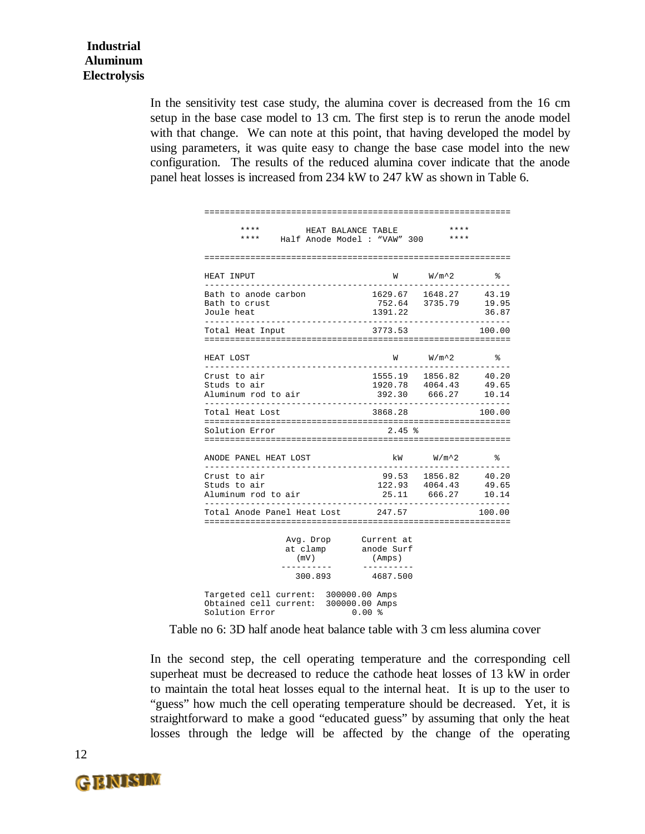In the sensitivity test case study, the alumina cover is decreased from the 16 cm setup in the base case model to 13 cm. The first step is to rerun the anode model with that change. We can note at this point, that having developed the model by using parameters, it was quite easy to change the base case model into the new configuration. The results of the reduced alumina cover indicate that the anode panel heat losses is increased from 234 kW to 247 kW as shown in Table 6.

| ****<br>* * * *<br>Half Anode Model : "VAW" 300                                                  | HEAT BALANCE TABLE                 | ****<br>$***$ * * *                           |                                 |
|--------------------------------------------------------------------------------------------------|------------------------------------|-----------------------------------------------|---------------------------------|
|                                                                                                  |                                    |                                               |                                 |
| HEAT INPUT                                                                                       | M                                  | $W/m^2$                                       | °                               |
| Bath to anode carbon<br>Bath to crust<br>Joule heat                                              | 1629.67 1648.27 43.19<br>1391.22   | 752.64 3735.79                                | 19.95<br>36.87<br>_____________ |
| Total Heat Input                                                                                 | 3773.53                            |                                               | 100.00                          |
| HEAT LOST<br>---------                                                                           | W                                  | W/m^2                                         | ႜ                               |
| Crust to air<br>Studs to air<br>Aluminum rod to air<br>____________________________              | 392.30 666.27                      | 1555.19 1856.82<br>1920.78 4064.43            | 40.20<br>49.65<br>10.14         |
| Total Heat Lost                                                                                  | 3868.28                            |                                               | 100.00                          |
| Solution Error                                                                                   | 2.45%                              |                                               |                                 |
| ANODE PANEL HEAT LOST                                                                            | kW                                 | $W/m^2$<br>. _ _ _ _ _ _ _ _ .                | る                               |
| Crust to air<br>Studs to air<br>Aluminum rod to air                                              | 25.11<br>.                         | 99.53 1856.82<br>$122.93$ $4064.43$<br>666.27 | 40.20<br>49.65<br>10.14         |
| Total Anode Panel Heat Lost 247.57                                                               |                                    |                                               | 100.00                          |
| Avg. Drop<br>at clamp<br>(mV)                                                                    | Current at<br>anode Surf<br>(Amps) |                                               |                                 |
| ---------<br>300.893 4687.500                                                                    | ----------                         |                                               |                                 |
| Targeted cell current: 300000.00 Amps<br>Obtained cell current: 300000.00 Amps<br>Solution Error | $0.00$ %                           |                                               |                                 |

Table no 6: 3D half anode heat balance table with 3 cm less alumina cover

In the second step, the cell operating temperature and the corresponding cell superheat must be decreased to reduce the cathode heat losses of 13 kW in order to maintain the total heat losses equal to the internal heat. It is up to the user to "guess" how much the cell operating temperature should be decreased. Yet, it is straightforward to make a good "educated guess" by assuming that only the heat losses through the ledge will be affected by the change of the operating

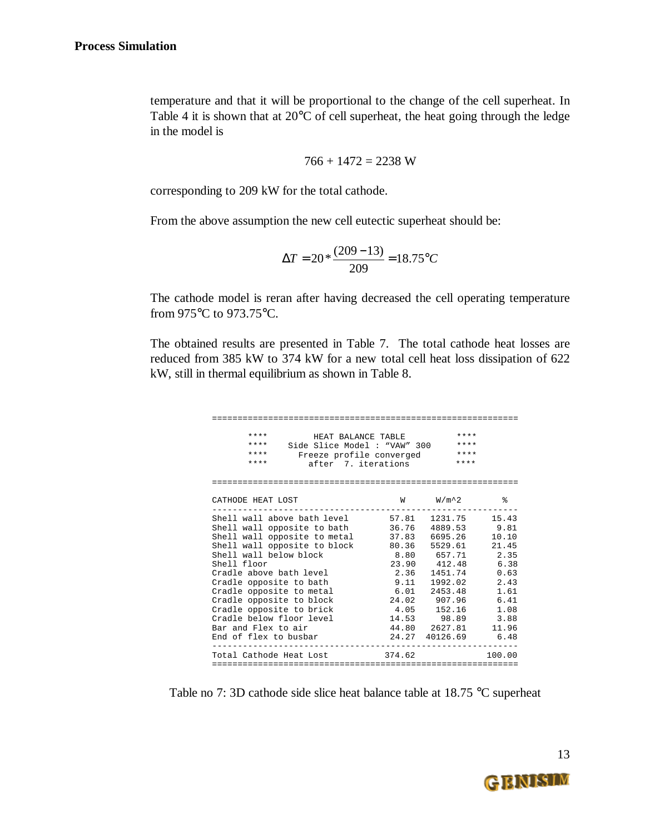temperature and that it will be proportional to the change of the cell superheat. In Table 4 it is shown that at  $20^{\circ}$ C of cell superheat, the heat going through the ledge in the model is

$$
766 + 1472 = 2238
$$
 W

corresponding to 209 kW for the total cathode.

From the above assumption the new cell eutectic superheat should be:

$$
\Delta T = 20 * \frac{(209 - 13)}{209} = 18.75
$$
°C

The cathode model is reran after having decreased the cell operating temperature from 975°C to 973.75°C.

The obtained results are presented in Table 7. The total cathode heat losses are reduced from 385 kW to 374 kW for a new total cell heat loss dissipation of 622 kW, still in thermal equilibrium as shown in Table 8.

| ****<br>HEAT BALANCE TABLE<br>$***$ * * *<br>Side Slice Model : "VAW" 300<br>****<br>Freeze profile converged<br>$***$<br>after 7. iterations                                                                                                                                                                                                              |                                                                  | ****<br>$***$<br>$***$<br>****                                                                                                                                                            |                                                                                                 |
|------------------------------------------------------------------------------------------------------------------------------------------------------------------------------------------------------------------------------------------------------------------------------------------------------------------------------------------------------------|------------------------------------------------------------------|-------------------------------------------------------------------------------------------------------------------------------------------------------------------------------------------|-------------------------------------------------------------------------------------------------|
| CATHODE HEAT LOST                                                                                                                                                                                                                                                                                                                                          | W                                                                | $W/m^2$                                                                                                                                                                                   | る                                                                                               |
| Shell wall opposite to bath<br>Shell wall opposite to metal<br>Shell wall opposite to block<br>Shell wall below block<br>Shell floor<br>Cradle above bath level<br>Cradle opposite to bath<br>Cradle opposite to metal<br>Cradle opposite to block<br>Cradle opposite to brick<br>Cradle below floor level<br>Bar and Flex to air<br>End of flex to busbar | 37.83<br>80.36<br>2.36<br>9.11<br>6.01<br>4.05<br>44.80<br>24.27 | 1231.75 15.43<br>36.76 4889.53<br>6695.26<br>5529.61<br>8.80 657.71<br>23.90 412.48<br>1451.74<br>1992.02<br>2453.48<br>24.02 907.96<br>152.16<br>14.53 98.89<br>2627.81<br>40126.69 6.48 | 9.81<br>10.10<br>21.45<br>2.35<br>6.38<br>0.63<br>2.43<br>1.61<br>6.41<br>1.08<br>3.88<br>11.96 |
| Total Cathode Heat Lost                                                                                                                                                                                                                                                                                                                                    | 374.62                                                           | ---------------------                                                                                                                                                                     | 100.00                                                                                          |

Table no 7: 3D cathode side slice heat balance table at 18.75 °C superheat

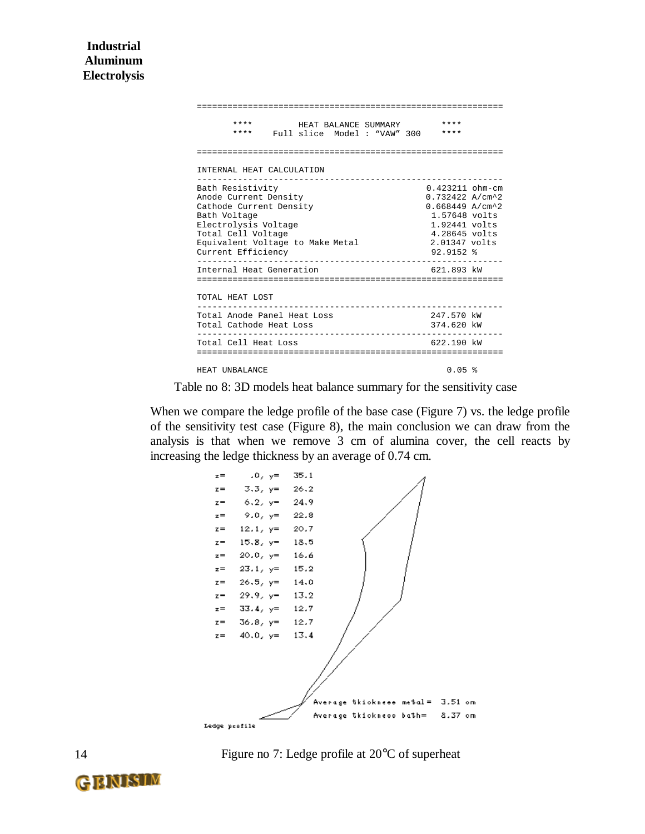| ****<br>****<br>Full slice Model : "VAW" 300                                                                                                                                                 | HEAT BALANCE SUMMARY | ****<br>****                                                                                                                                            |  |
|----------------------------------------------------------------------------------------------------------------------------------------------------------------------------------------------|----------------------|---------------------------------------------------------------------------------------------------------------------------------------------------------|--|
|                                                                                                                                                                                              |                      |                                                                                                                                                         |  |
| INTERNAL HEAT CALCULATION                                                                                                                                                                    |                      |                                                                                                                                                         |  |
| Bath Resistivity<br>Anode Current Density<br>Cathode Current Density<br>Bath Voltage<br>Electrolysis Voltage<br>Total Cell Voltage<br>Equivalent Voltage to Make Metal<br>Current Efficiency |                      | $0.423211$ ohm-cm<br>0.732422 A/cm^2<br>$0.668449$ A/cm <sup>2</sup> 2<br>1.57648 volts<br>1.92441 volts<br>4.28645 volts<br>2.01347 volts<br>92.9152 % |  |
| Internal Heat Generation                                                                                                                                                                     |                      | 621.893 kW                                                                                                                                              |  |
| TOTAL HEAT LOST                                                                                                                                                                              |                      |                                                                                                                                                         |  |
| Total Anode Panel Heat Loss<br>Total Cathode Heat Loss                                                                                                                                       |                      | 247.570 kW<br>374.620 kW                                                                                                                                |  |
| Total Cell Heat Loss                                                                                                                                                                         |                      | $622.190$ kW                                                                                                                                            |  |
| HEAT UNBALANCE                                                                                                                                                                               |                      | $0.05$ $%$                                                                                                                                              |  |

Table no 8: 3D models heat balance summary for the sensitivity case

When we compare the ledge profile of the base case (Figure 7) vs. the ledge profile of the sensitivity test case (Figure 8), the main conclusion we can draw from the analysis is that when we remove 3 cm of alumina cover, the cell reacts by increasing the ledge thickness by an average of 0.74 cm.



Figure no 7: Ledge profile at 20°C of superheat

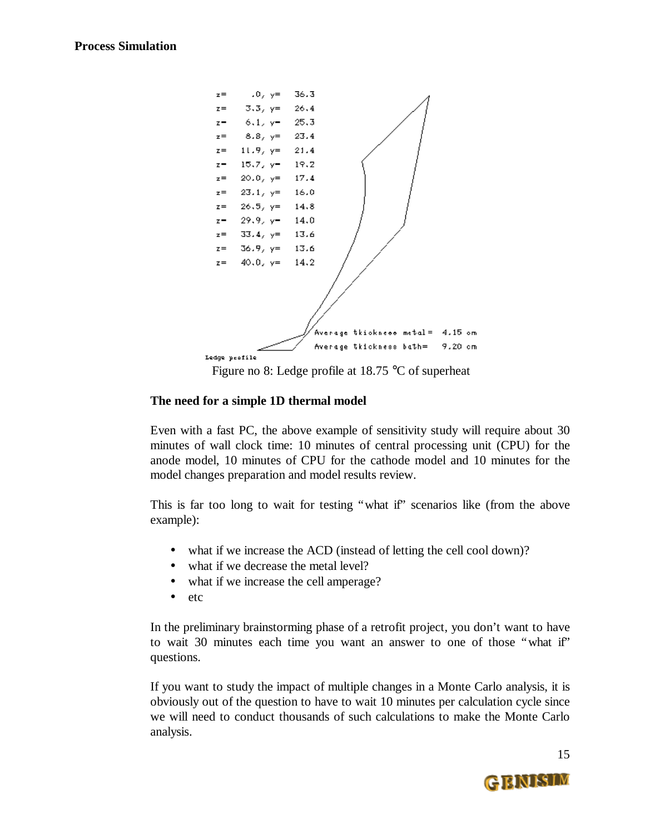

Figure no 8: Ledge profile at 18.75 °C of superheat

#### **The need for a simple 1D thermal model**

Even with a fast PC, the above example of sensitivity study will require about 30 minutes of wall clock time: 10 minutes of central processing unit (CPU) for the anode model, 10 minutes of CPU for the cathode model and 10 minutes for the model changes preparation and model results review.

This is far too long to wait for testing "what if" scenarios like (from the above example):

- what if we increase the ACD (instead of letting the cell cool down)?
- what if we decrease the metal level?
- what if we increase the cell amperage?
- etc

In the preliminary brainstorming phase of a retrofit project, you don't want to have to wait 30 minutes each time you want an answer to one of those "what if" questions.

If you want to study the impact of multiple changes in a Monte Carlo analysis, it is obviously out of the question to have to wait 10 minutes per calculation cycle since we will need to conduct thousands of such calculations to make the Monte Carlo analysis.

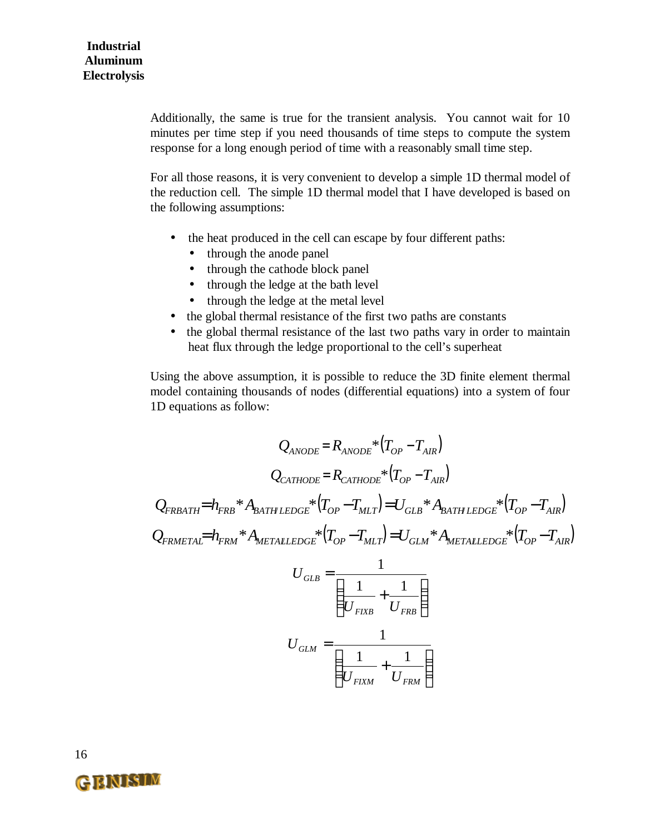Additionally, the same is true for the transient analysis. You cannot wait for 10 minutes per time step if you need thousands of time steps to compute the system response for a long enough period of time with a reasonably small time step.

For all those reasons, it is very convenient to develop a simple 1D thermal model of the reduction cell. The simple 1D thermal model that I have developed is based on the following assumptions:

- the heat produced in the cell can escape by four different paths:
	- through the anode panel
	- through the cathode block panel
	- through the ledge at the bath level
	- through the ledge at the metal level
- the global thermal resistance of the first two paths are constants
- the global thermal resistance of the last two paths vary in order to maintain heat flux through the ledge proportional to the cell's superheat

Using the above assumption, it is possible to reduce the 3D finite element thermal model containing thousands of nodes (differential equations) into a system of four 1D equations as follow:

$$
Q_{ANODE} = R_{ANODE} * (T_{OP} - T_{AIR})
$$
\n
$$
Q_{CATHODE} = R_{CATHODE} * (T_{OP} - T_{AIR})
$$
\n
$$
Q_{FRBATH} = h_{FRB} * A_{BATH LEDGE} * (T_{OP} - T_{MLT}) = U_{GLB} * A_{BATH LEDGE} * (T_{OP} - T_{AIR})
$$
\n
$$
Q_{FRMETALEDGE} * (T_{OP} - T_{MLT}) = U_{GLM} * A_{METALLEDGE} * (T_{OP} - T_{AIR})
$$
\n
$$
U_{GLB} = \frac{1}{\left(\frac{1}{U_{FIXB}} + \frac{1}{U_{FRB}}\right)}
$$
\n
$$
U_{GLM} = \frac{1}{\left(\frac{1}{U_{FIXM}} + \frac{1}{U_{FRM}}\right)}
$$



16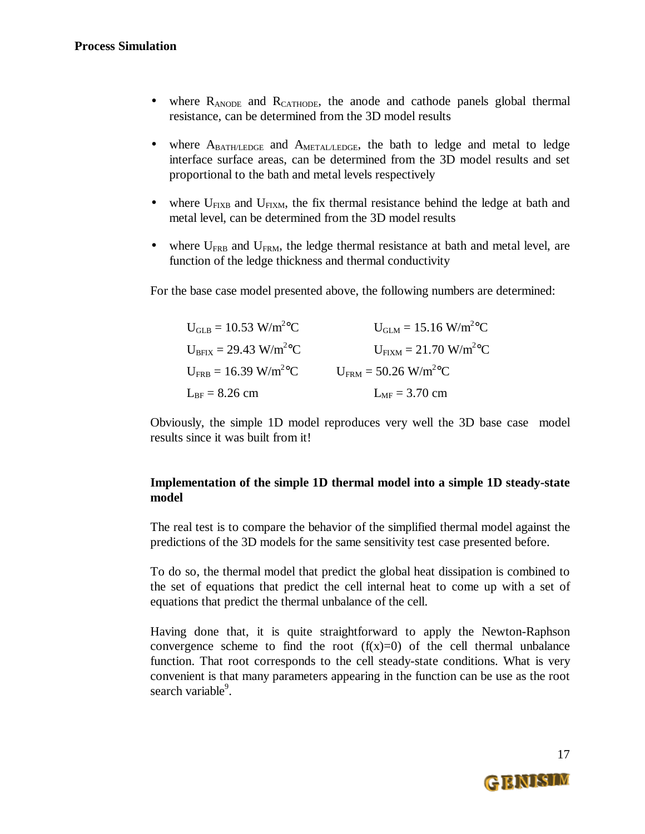- where R<sub>ANODE</sub> and R<sub>CATHODE</sub>, the anode and cathode panels global thermal resistance, can be determined from the 3D model results
- where  $A_{\text{BATH/EDGE}}$  and  $A_{\text{METAL/LEDGE}}$ , the bath to ledge and metal to ledge interface surface areas, can be determined from the 3D model results and set proportional to the bath and metal levels respectively
- where  $U_{\text{FIXB}}$  and  $U_{\text{FIXM}}$ , the fix thermal resistance behind the ledge at bath and metal level, can be determined from the 3D model results
- where  $U_{FRB}$  and  $U_{FRM}$ , the ledge thermal resistance at bath and metal level, are function of the ledge thickness and thermal conductivity

For the base case model presented above, the following numbers are determined:

| $U_{\text{GLB}} = 10.53 \text{ W/m}^2\text{°C}$ | $U_{\text{GLM}} = 15.16 \text{ W/m}^2\text{°C}$  |
|-------------------------------------------------|--------------------------------------------------|
| $U_{BFIX} = 29.43$ W/m <sup>2</sup> °C          | $U_{\text{FIXM}} = 21.70 \text{ W/m}^2\text{°C}$ |
| $U_{\text{FRB}} = 16.39 \text{ W/m}^2\text{°C}$ | $U_{\text{FRM}}$ = 50.26 W/m <sup>2</sup> °C     |
| $L_{BF} = 8.26$ cm                              | $L_{MF}$ = 3.70 cm                               |

Obviously, the simple 1D model reproduces very well the 3D base case model results since it was built from it!

#### **Implementation of the simple 1D thermal model into a simple 1D steady-state model**

The real test is to compare the behavior of the simplified thermal model against the predictions of the 3D models for the same sensitivity test case presented before.

To do so, the thermal model that predict the global heat dissipation is combined to the set of equations that predict the cell internal heat to come up with a set of equations that predict the thermal unbalance of the cell.

Having done that, it is quite straightforward to apply the Newton-Raphson convergence scheme to find the root  $(f(x)=0)$  of the cell thermal unbalance function. That root corresponds to the cell steady-state conditions. What is very convenient is that many parameters appearing in the function can be use as the root search variable<sup>9</sup>.

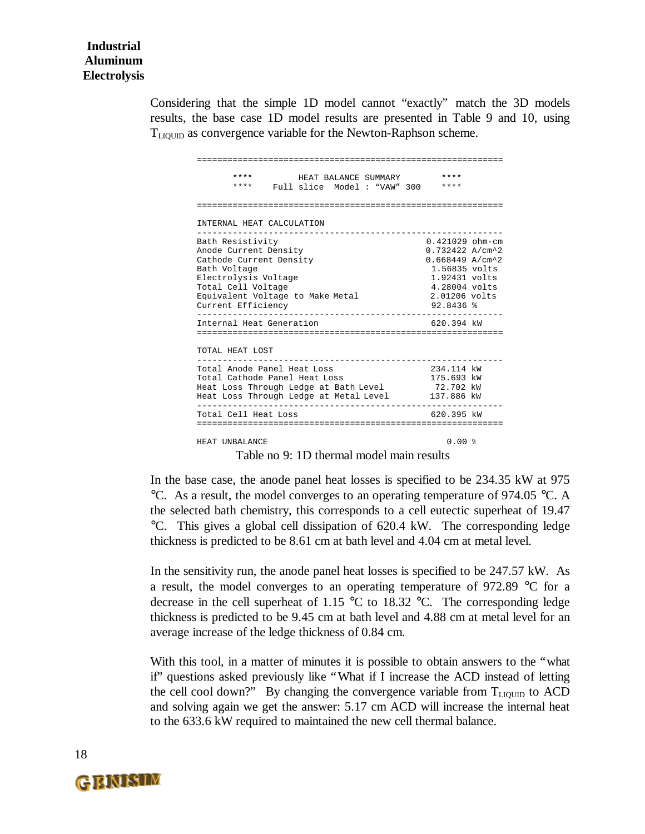Considering that the simple 1D model cannot "exactly" match the 3D models results, the base case 1D model results are presented in Table 9 and 10, using TLIQUID as convergence variable for the Newton-Raphson scheme.

| ****<br>****                                                                                                                                                                                 | HEAT BALANCE SUMMARY<br>Full slice Model: "VAW" 300 | ****<br>****                                                                                                                                                |  |
|----------------------------------------------------------------------------------------------------------------------------------------------------------------------------------------------|-----------------------------------------------------|-------------------------------------------------------------------------------------------------------------------------------------------------------------|--|
|                                                                                                                                                                                              |                                                     |                                                                                                                                                             |  |
| INTERNAL HEAT CALCULATION                                                                                                                                                                    |                                                     |                                                                                                                                                             |  |
| Bath Resistivity<br>Anode Current Density<br>Cathode Current Density<br>Bath Voltage<br>Electrolysis Voltage<br>Total Cell Voltage<br>Equivalent Voltage to Make Metal<br>Current Efficiency |                                                     | $0.421029$ ohm-cm<br>$0.732422 A/cm^2$<br>$0.668449$ A/cm <sup>2</sup> 2<br>1.56835 volts<br>1.92431 volts<br>4.28004 volts<br>2.01206 volts<br>$92.8436$ % |  |
| Internal Heat Generation                                                                                                                                                                     |                                                     | 620.394 kW                                                                                                                                                  |  |
| TOTAL HEAT LOST                                                                                                                                                                              |                                                     |                                                                                                                                                             |  |
| Total Anode Panel Heat Loss<br>Total Cathode Panel Heat Loss<br>Heat Loss Through Ledge at Bath Level<br>Heat Loss Through Ledge at Metal Level                                              |                                                     | 234.114 kW<br>175.693 kW<br>72.702 kW<br>137.886 kW                                                                                                         |  |
| Total Cell Heat Loss                                                                                                                                                                         |                                                     | 620.395 kW                                                                                                                                                  |  |
| HEAT IINRALANCE                                                                                                                                                                              |                                                     | 0 UU \$                                                                                                                                                     |  |

Table no 9: 1D thermal model main results

In the base case, the anode panel heat losses is specified to be 234.35 kW at 975 °C. As a result, the model converges to an operating temperature of 974.05 °C. A the selected bath chemistry, this corresponds to a cell eutectic superheat of 19.47 °C. This gives a global cell dissipation of 620.4 kW. The corresponding ledge thickness is predicted to be 8.61 cm at bath level and 4.04 cm at metal level.

In the sensitivity run, the anode panel heat losses is specified to be 247.57 kW. As a result, the model converges to an operating temperature of 972.89 °C for a decrease in the cell superheat of 1.15 °C to 18.32 °C. The corresponding ledge thickness is predicted to be 9.45 cm at bath level and 4.88 cm at metal level for an average increase of the ledge thickness of 0.84 cm.

With this tool, in a matter of minutes it is possible to obtain answers to the "what if" questions asked previously like "What if I increase the ACD instead of letting the cell cool down?" By changing the convergence variable from  $T_{LIQUID}$  to ACD and solving again we get the answer: 5.17 cm ACD will increase the internal heat to the 633.6 kW required to maintained the new cell thermal balance.

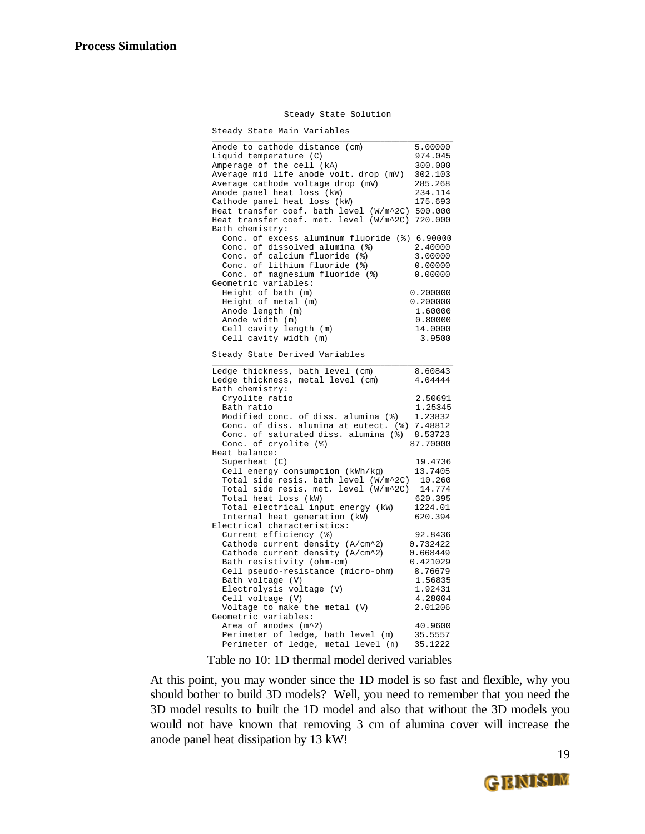#### Steady State Solution

Steady State Main Variables

| Anode to cathode distance (cm)                                   | 5.00000  |
|------------------------------------------------------------------|----------|
| Liquid temperature (C)                                           | 974.045  |
| Amperage of the cell (kA)                                        | 300.000  |
| Average mid life anode volt. drop (mV)                           | 302.103  |
| Average cathode voltage drop (mV)                                | 285.268  |
| Anode panel heat loss (kW)                                       | 234.114  |
| Cathode panel heat loss (kW)                                     | 175.693  |
| Heat transfer coef. bath level (W/m^2C)                          | 500.000  |
| Heat transfer coef. met. level (W/m^2C) 720.000                  |          |
| Bath chemistry:<br>Conc. of excess aluminum fluoride (%) 6.90000 |          |
| Conc. of dissolved alumina (%)                                   | 2.40000  |
| Conc. of calcium fluoride (%)                                    | 3.00000  |
| Conc. of lithium fluoride (%)                                    | 0.00000  |
| Conc. of magnesium fluoride (%)                                  | 0.00000  |
| Geometric variables:                                             |          |
| Height of bath (m)                                               | 0.200000 |
| Height of metal (m)                                              | 0.200000 |
| Anode length (m)                                                 | 1.60000  |
| Anode width (m)                                                  | 0.80000  |
| Cell cavity length (m)                                           | 14.0000  |
| Cell cavity width (m)                                            | 3.9500   |
|                                                                  |          |
| Steady State Derived Variables                                   |          |
| Ledge thickness, bath level (cm)                                 | 8.60843  |
| Ledge thickness, metal level (cm)                                | 4.04444  |
| Bath chemistry:                                                  |          |
| Cryolite ratio                                                   | 2.50691  |
| Bath ratio                                                       | 1.25345  |
| Modified conc. of diss. alumina (%)                              | 1.23832  |
| Conc. of diss. alumina at eutect. (%) 7.48812                    |          |
| Conc. of saturated diss. alumina (%)                             | 8.53723  |
| Conc. of cryolite (%)<br>Heat balance:                           | 87.70000 |
| Superheat (C)                                                    | 19.4736  |
| Cell energy consumption (kWh/kg)                                 | 13.7405  |
| Total side resis. bath level (W/m^2C)                            | 10.260   |
| Total side resis. met. level (W/m^2C)                            | 14.774   |
| Total heat loss (kW)                                             | 620.395  |
| Total electrical input energy (kW)                               | 1224.01  |
| Internal heat generation (kW)                                    | 620.394  |
| Electrical characteristics:                                      |          |
| Current efficiency (%)                                           | 92.8436  |
| Cathode current density (A/cm^2)                                 | 0.732422 |
| Cathode current density (A/cm^2)                                 | 0.668449 |
| Bath resistivity (ohm-cm)                                        | 0.421029 |
| Cell pseudo-resistance (micro-ohm)                               | 8.76679  |
| Bath voltage (V)                                                 | 1.56835  |
| Electrolysis voltage (V)                                         | 1.92431  |
| Cell voltage (V)                                                 | 4.28004  |
| Voltage to make the metal (V)                                    | 2.01206  |
| Geometric variables:                                             |          |
| Area of anodes (m^2)                                             | 40.9600  |
| Perimeter of ledge, bath level (m)                               | 35.5557  |
| Perimeter of ledge, metal level (n)                              | 35.1222  |

Table no 10: 1D thermal model derived variables

At this point, you may wonder since the 1D model is so fast and flexible, why you should bother to build 3D models? Well, you need to remember that you need the 3D model results to built the 1D model and also that without the 3D models you would not have known that removing 3 cm of alumina cover will increase the anode panel heat dissipation by 13 kW!

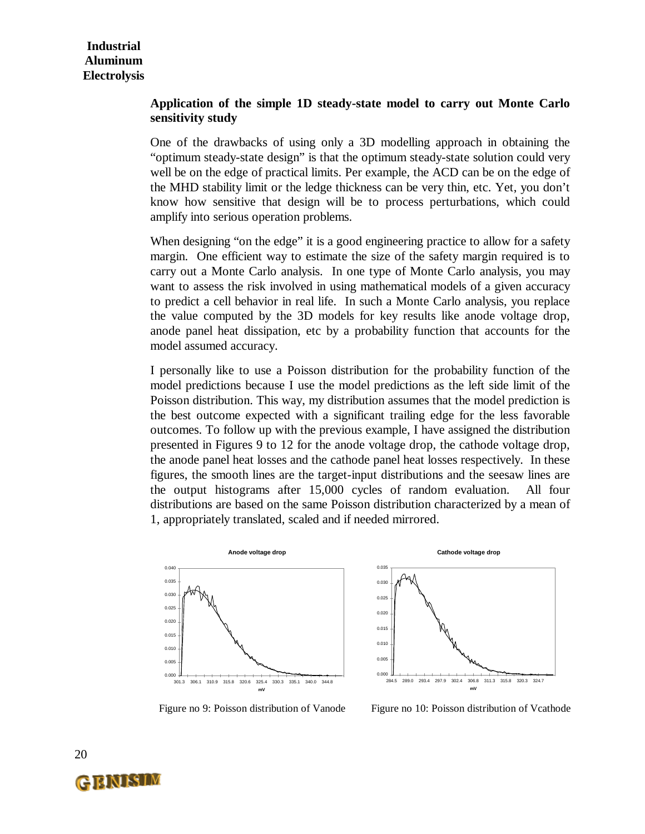#### **Application of the simple 1D steady-state model to carry out Monte Carlo sensitivity study**

One of the drawbacks of using only a 3D modelling approach in obtaining the "optimum steady-state design" is that the optimum steady-state solution could very well be on the edge of practical limits. Per example, the ACD can be on the edge of the MHD stability limit or the ledge thickness can be very thin, etc. Yet, you don't know how sensitive that design will be to process perturbations, which could amplify into serious operation problems.

When designing "on the edge" it is a good engineering practice to allow for a safety margin. One efficient way to estimate the size of the safety margin required is to carry out a Monte Carlo analysis. In one type of Monte Carlo analysis, you may want to assess the risk involved in using mathematical models of a given accuracy to predict a cell behavior in real life. In such a Monte Carlo analysis, you replace the value computed by the 3D models for key results like anode voltage drop, anode panel heat dissipation, etc by a probability function that accounts for the model assumed accuracy.

I personally like to use a Poisson distribution for the probability function of the model predictions because I use the model predictions as the left side limit of the Poisson distribution. This way, my distribution assumes that the model prediction is the best outcome expected with a significant trailing edge for the less favorable outcomes. To follow up with the previous example, I have assigned the distribution presented in Figures 9 to 12 for the anode voltage drop, the cathode voltage drop, the anode panel heat losses and the cathode panel heat losses respectively. In these figures, the smooth lines are the target-input distributions and the seesaw lines are the output histograms after 15,000 cycles of random evaluation. All four distributions are based on the same Poisson distribution characterized by a mean of 1, appropriately translated, scaled and if needed mirrored.





Figure no 9: Poisson distribution of Vanode Figure no 10: Poisson distribution of Vcathode



20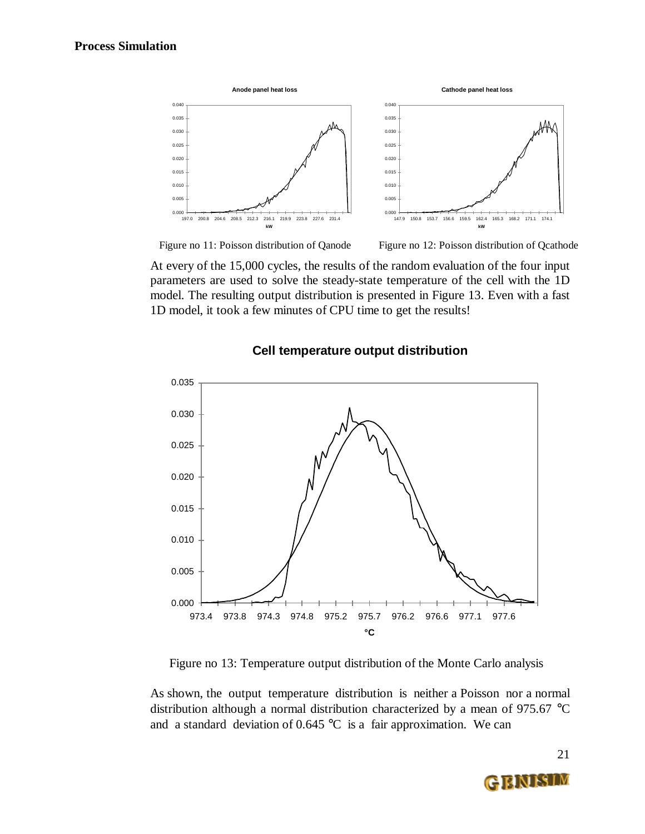





At every of the 15,000 cycles, the results of the random evaluation of the four input parameters are used to solve the steady-state temperature of the cell with the 1D model. The resulting output distribution is presented in Figure 13. Even with a fast 1D model, it took a few minutes of CPU time to get the results!



#### **Cell temperature output distribution**

Figure no 13: Temperature output distribution of the Monte Carlo analysis

As shown, the output temperature distribution is neither a Poisson nor a normal distribution although a normal distribution characterized by a mean of 975.67 °C and a standard deviation of  $0.645 \degree C$  is a fair approximation. We can

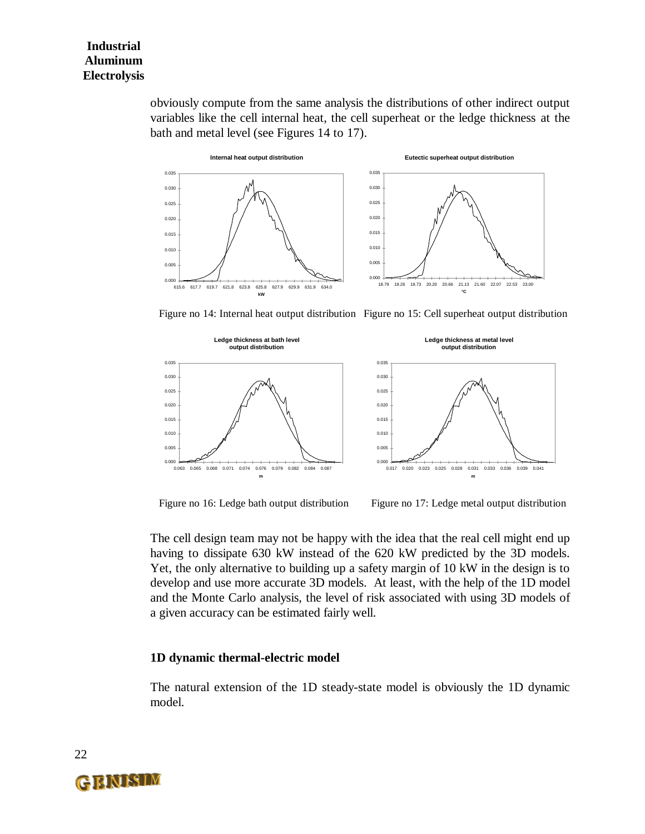obviously compute from the same analysis the distributions of other indirect output variables like the cell internal heat, the cell superheat or the ledge thickness at the bath and metal level (see Figures 14 to 17).



Figure no 14: Internal heat output distribution Figure no 15: Cell superheat output distribution



Figure no 16: Ledge bath output distribution Figure no 17: Ledge metal output distribution

The cell design team may not be happy with the idea that the real cell might end up having to dissipate 630 kW instead of the 620 kW predicted by the 3D models. Yet, the only alternative to building up a safety margin of 10 kW in the design is to develop and use more accurate 3D models. At least, with the help of the 1D model and the Monte Carlo analysis, the level of risk associated with using 3D models of a given accuracy can be estimated fairly well.

#### **1D dynamic thermal-electric model**

The natural extension of the 1D steady-state model is obviously the 1D dynamic model.



22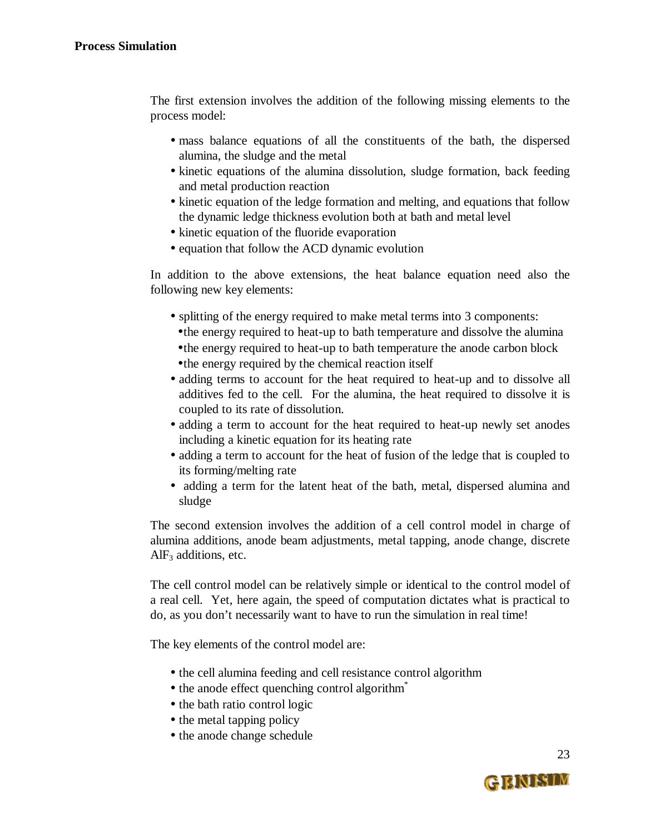The first extension involves the addition of the following missing elements to the process model:

- mass balance equations of all the constituents of the bath, the dispersed alumina, the sludge and the metal
- kinetic equations of the alumina dissolution, sludge formation, back feeding and metal production reaction
- kinetic equation of the ledge formation and melting, and equations that follow the dynamic ledge thickness evolution both at bath and metal level
- kinetic equation of the fluoride evaporation
- equation that follow the ACD dynamic evolution

In addition to the above extensions, the heat balance equation need also the following new key elements:

- splitting of the energy required to make metal terms into 3 components:
	- •the energy required to heat-up to bath temperature and dissolve the alumina
	- •the energy required to heat-up to bath temperature the anode carbon block
- •the energy required by the chemical reaction itself
- adding terms to account for the heat required to heat-up and to dissolve all additives fed to the cell. For the alumina, the heat required to dissolve it is coupled to its rate of dissolution.
- adding a term to account for the heat required to heat-up newly set anodes including a kinetic equation for its heating rate
- adding a term to account for the heat of fusion of the ledge that is coupled to its forming/melting rate
- adding a term for the latent heat of the bath, metal, dispersed alumina and sludge

The second extension involves the addition of a cell control model in charge of alumina additions, anode beam adjustments, metal tapping, anode change, discrete  $AlF<sub>3</sub>$  additions, etc.

The cell control model can be relatively simple or identical to the control model of a real cell. Yet, here again, the speed of computation dictates what is practical to do, as you don't necessarily want to have to run the simulation in real time!

The key elements of the control model are:

- the cell alumina feeding and cell resistance control algorithm
- the anode effect quenching control algorithm<sup>\*</sup>
- the bath ratio control logic
- the metal tapping policy
- the anode change schedule

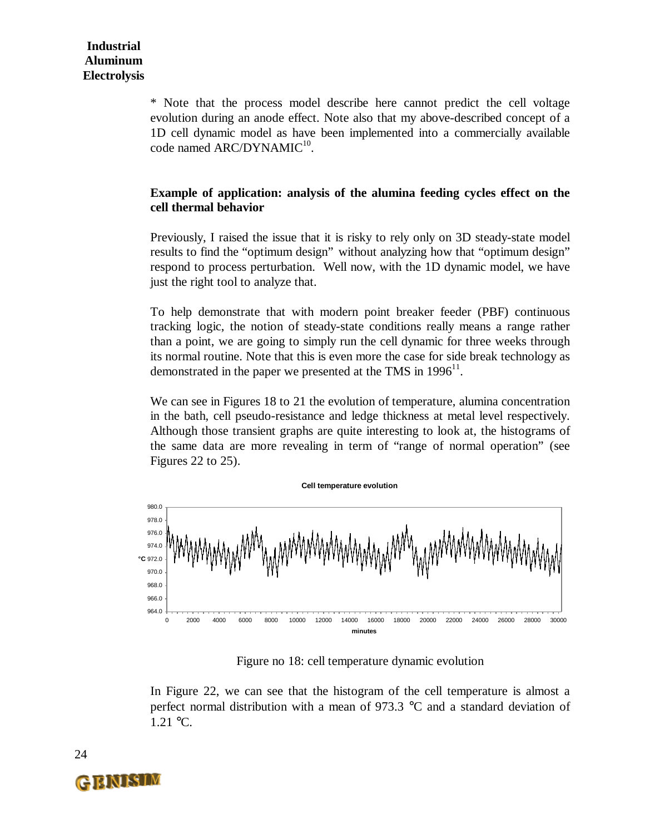\* Note that the process model describe here cannot predict the cell voltage evolution during an anode effect. Note also that my above-described concept of a 1D cell dynamic model as have been implemented into a commercially available code named ARC/DYNAMIC<sup>10</sup>.

#### **Example of application: analysis of the alumina feeding cycles effect on the cell thermal behavior**

Previously, I raised the issue that it is risky to rely only on 3D steady-state model results to find the "optimum design" without analyzing how that "optimum design" respond to process perturbation. Well now, with the 1D dynamic model, we have just the right tool to analyze that.

To help demonstrate that with modern point breaker feeder (PBF) continuous tracking logic, the notion of steady-state conditions really means a range rather than a point, we are going to simply run the cell dynamic for three weeks through its normal routine. Note that this is even more the case for side break technology as demonstrated in the paper we presented at the TMS in  $1996<sup>11</sup>$ .

We can see in Figures 18 to 21 the evolution of temperature, alumina concentration in the bath, cell pseudo-resistance and ledge thickness at metal level respectively. Although those transient graphs are quite interesting to look at, the histograms of the same data are more revealing in term of "range of normal operation" (see Figures 22 to 25).



Figure no 18: cell temperature dynamic evolution

In Figure 22, we can see that the histogram of the cell temperature is almost a perfect normal distribution with a mean of 973.3 °C and a standard deviation of 1.21 °C.

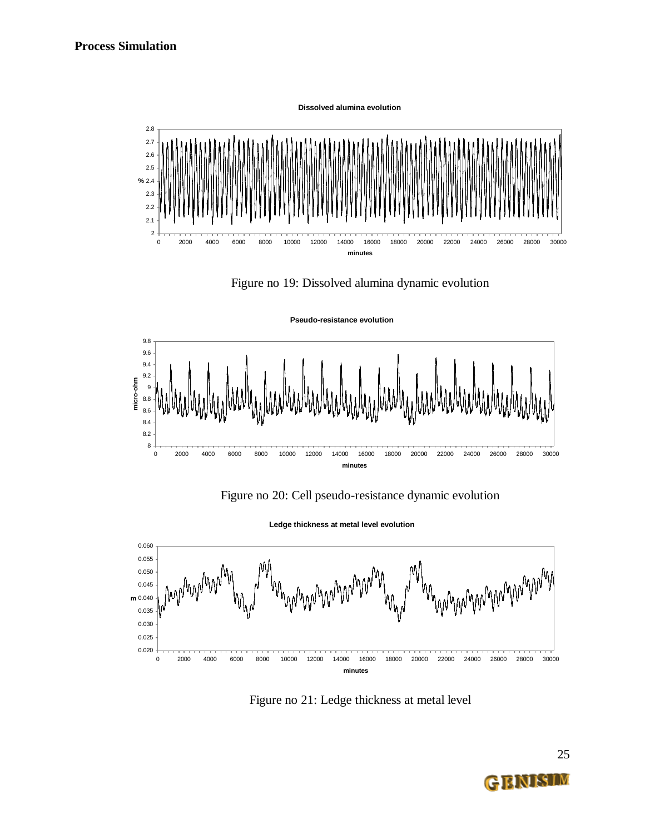**Dissolved alumina evolution**



Figure no 19: Dissolved alumina dynamic evolution





Figure no 20: Cell pseudo-resistance dynamic evolution

**Ledge thickness at metal level evolution**



Figure no 21: Ledge thickness at metal level

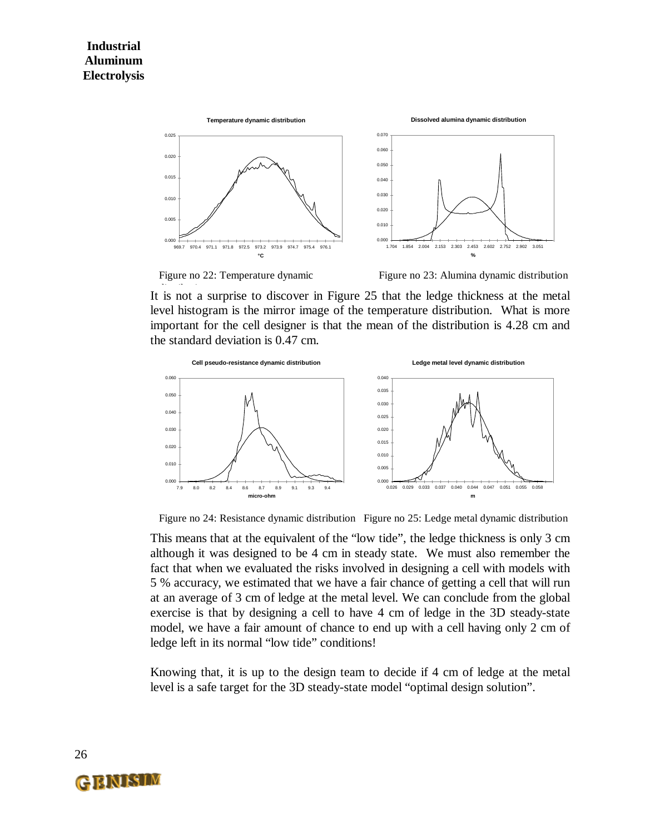

Figure no 22: Temperature dynamic Figure no 23: Alumina dynamic distribution

It is not a surprise to discover in Figure 25 that the ledge thickness at the metal level histogram is the mirror image of the temperature distribution. What is more important for the cell designer is that the mean of the distribution is 4.28 cm and the standard deviation is 0.47 cm.



Figure no 24: Resistance dynamic distribution Figure no 25: Ledge metal dynamic distribution

This means that at the equivalent of the "low tide", the ledge thickness is only 3 cm although it was designed to be 4 cm in steady state. We must also remember the fact that when we evaluated the risks involved in designing a cell with models with 5 % accuracy, we estimated that we have a fair chance of getting a cell that will run at an average of 3 cm of ledge at the metal level. We can conclude from the global exercise is that by designing a cell to have 4 cm of ledge in the 3D steady-state model, we have a fair amount of chance to end up with a cell having only 2 cm of ledge left in its normal "low tide" conditions!

Knowing that, it is up to the design team to decide if 4 cm of ledge at the metal level is a safe target for the 3D steady-state model "optimal design solution".

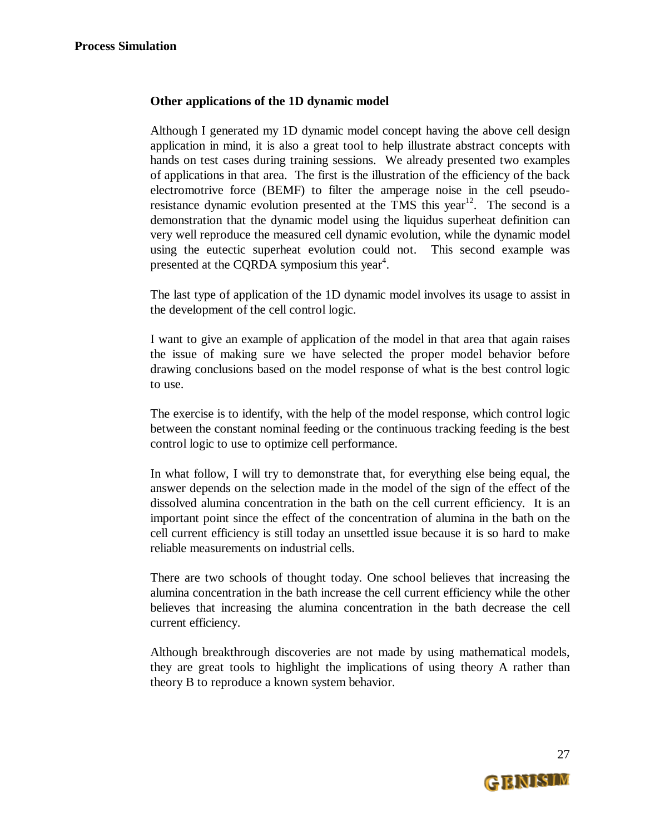#### **Other applications of the 1D dynamic model**

Although I generated my 1D dynamic model concept having the above cell design application in mind, it is also a great tool to help illustrate abstract concepts with hands on test cases during training sessions. We already presented two examples of applications in that area. The first is the illustration of the efficiency of the back electromotrive force (BEMF) to filter the amperage noise in the cell pseudoresistance dynamic evolution presented at the TMS this year<sup>12</sup>. The second is a demonstration that the dynamic model using the liquidus superheat definition can very well reproduce the measured cell dynamic evolution, while the dynamic model using the eutectic superheat evolution could not. This second example was presented at the CQRDA symposium this year<sup>4</sup>.

The last type of application of the 1D dynamic model involves its usage to assist in the development of the cell control logic.

I want to give an example of application of the model in that area that again raises the issue of making sure we have selected the proper model behavior before drawing conclusions based on the model response of what is the best control logic to use.

The exercise is to identify, with the help of the model response, which control logic between the constant nominal feeding or the continuous tracking feeding is the best control logic to use to optimize cell performance.

In what follow, I will try to demonstrate that, for everything else being equal, the answer depends on the selection made in the model of the sign of the effect of the dissolved alumina concentration in the bath on the cell current efficiency. It is an important point since the effect of the concentration of alumina in the bath on the cell current efficiency is still today an unsettled issue because it is so hard to make reliable measurements on industrial cells.

There are two schools of thought today. One school believes that increasing the alumina concentration in the bath increase the cell current efficiency while the other believes that increasing the alumina concentration in the bath decrease the cell current efficiency.

Although breakthrough discoveries are not made by using mathematical models, they are great tools to highlight the implications of using theory A rather than theory B to reproduce a known system behavior.

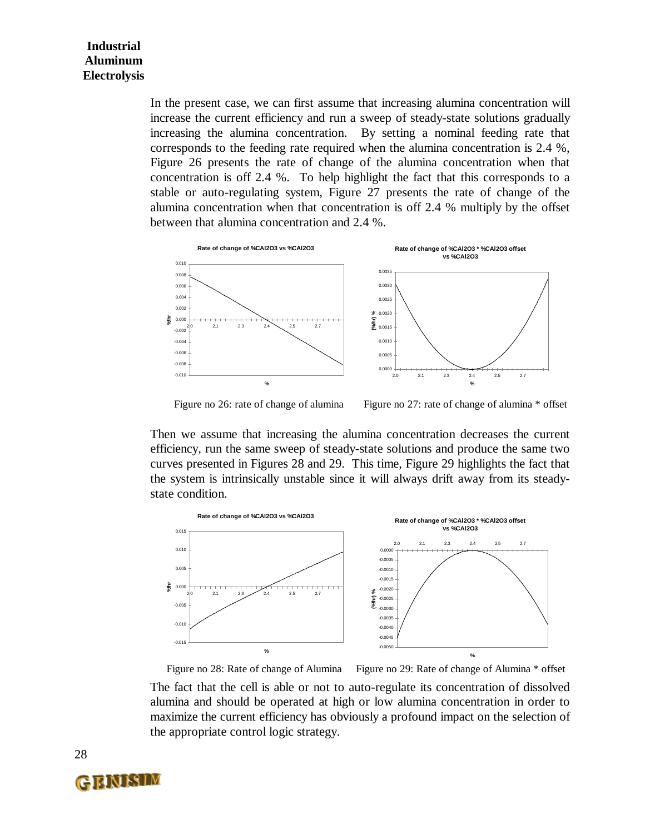In the present case, we can first assume that increasing alumina concentration will increase the current efficiency and run a sweep of steady-state solutions gradually increasing the alumina concentration. By setting a nominal feeding rate that corresponds to the feeding rate required when the alumina concentration is 2.4 %, Figure 26 presents the rate of change of the alumina concentration when that concentration is off 2.4 %. To help highlight the fact that this corresponds to a stable or auto-regulating system, Figure 27 presents the rate of change of the alumina concentration when that concentration is off 2.4 % multiply by the offset between that alumina concentration and 2.4 %.



Figure no 26: rate of change of alumina

Figure no 27: rate of change of alumina \* offset

Then we assume that increasing the alumina concentration decreases the current efficiency, run the same sweep of steady-state solutions and produce the same two curves presented in Figures 28 and 29. This time, Figure 29 highlights the fact that the system is intrinsically unstable since it will always drift away from its steadystate condition.



The fact that the cell is able or not to auto-regulate its concentration of dissolved alumina and should be operated at high or low alumina concentration in order to maximize the current efficiency has obviously a profound impact on the selection of the appropriate control logic strategy. Figure no 28: Rate of change of Alumina Figure no 29: Rate of change of Alumina \* offset

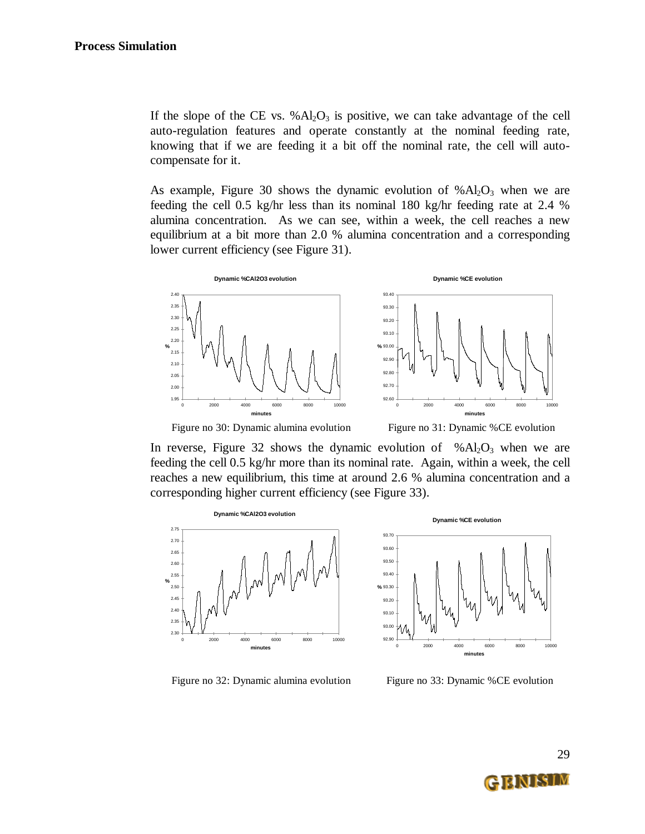If the slope of the CE vs.  $%Al<sub>2</sub>O<sub>3</sub>$  is positive, we can take advantage of the cell auto-regulation features and operate constantly at the nominal feeding rate, knowing that if we are feeding it a bit off the nominal rate, the cell will autocompensate for it.

As example, Figure 30 shows the dynamic evolution of  $% Al<sub>2</sub>O<sub>3</sub>$  when we are feeding the cell 0.5 kg/hr less than its nominal 180 kg/hr feeding rate at 2.4 % alumina concentration. As we can see, within a week, the cell reaches a new equilibrium at a bit more than 2.0 % alumina concentration and a corresponding lower current efficiency (see Figure 31).





Figure no 30: Dynamic alumina evolution Figure no 31: Dynamic %CE evolution



In reverse, Figure 32 shows the dynamic evolution of  $% Al<sub>2</sub>O<sub>3</sub>$  when we are feeding the cell 0.5 kg/hr more than its nominal rate. Again, within a week, the cell reaches a new equilibrium, this time at around 2.6 % alumina concentration and a corresponding higher current efficiency (see Figure 33).



Figure no 32: Dynamic alumina evolution Figure no 33: Dynamic %CE evolution



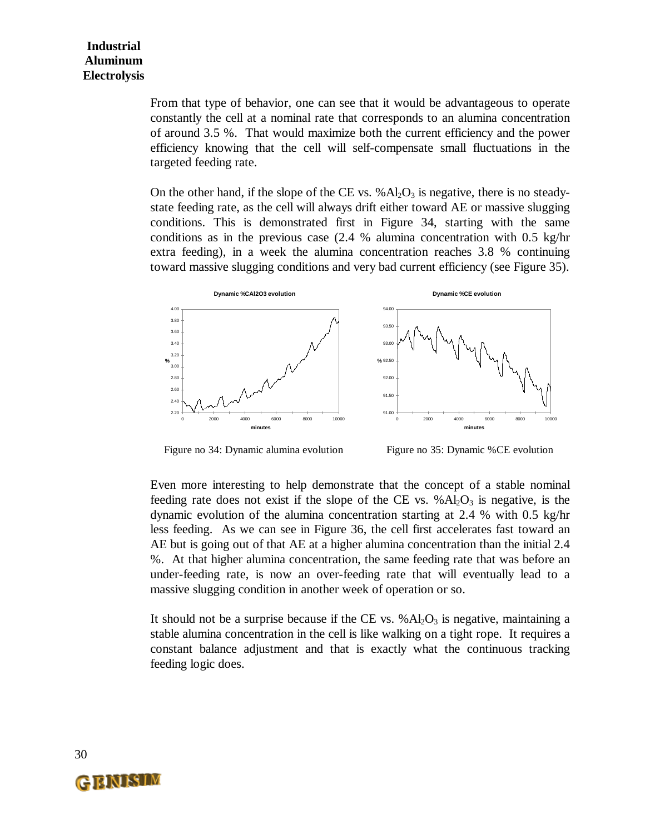From that type of behavior, one can see that it would be advantageous to operate constantly the cell at a nominal rate that corresponds to an alumina concentration of around 3.5 %. That would maximize both the current efficiency and the power efficiency knowing that the cell will self-compensate small fluctuations in the targeted feeding rate.

On the other hand, if the slope of the CE vs.  $\%$ Al<sub>2</sub>O<sub>3</sub> is negative, there is no steadystate feeding rate, as the cell will always drift either toward AE or massive slugging conditions. This is demonstrated first in Figure 34, starting with the same conditions as in the previous case (2.4 % alumina concentration with 0.5 kg/hr extra feeding), in a week the alumina concentration reaches 3.8 % continuing toward massive slugging conditions and very bad current efficiency (see Figure 35).



Figure no 34: Dynamic alumina evolution Figure no 35: Dynamic %CE evolution

Even more interesting to help demonstrate that the concept of a stable nominal feeding rate does not exist if the slope of the CE vs.  $% Al_2O_3$  is negative, is the dynamic evolution of the alumina concentration starting at 2.4 % with 0.5 kg/hr less feeding. As we can see in Figure 36, the cell first accelerates fast toward an AE but is going out of that AE at a higher alumina concentration than the initial 2.4 %. At that higher alumina concentration, the same feeding rate that was before an under-feeding rate, is now an over-feeding rate that will eventually lead to a massive slugging condition in another week of operation or so.

It should not be a surprise because if the CE vs.  $% Al<sub>2</sub>O<sub>3</sub>$  is negative, maintaining a stable alumina concentration in the cell is like walking on a tight rope. It requires a constant balance adjustment and that is exactly what the continuous tracking feeding logic does.

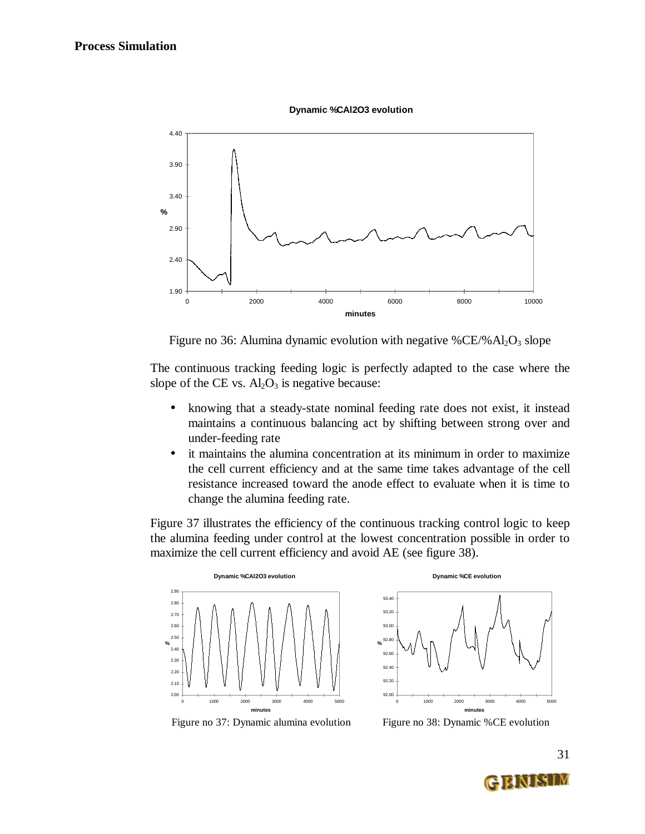



Figure no 36: Alumina dynamic evolution with negative  $\%$ CE/%Al<sub>2</sub>O<sub>3</sub> slope

The continuous tracking feeding logic is perfectly adapted to the case where the slope of the CE vs.  $Al_2O_3$  is negative because:

- knowing that a steady-state nominal feeding rate does not exist, it instead maintains a continuous balancing act by shifting between strong over and under-feeding rate
- it maintains the alumina concentration at its minimum in order to maximize the cell current efficiency and at the same time takes advantage of the cell resistance increased toward the anode effect to evaluate when it is time to change the alumina feeding rate.

Figure 37 illustrates the efficiency of the continuous tracking control logic to keep the alumina feeding under control at the lowest concentration possible in order to maximize the cell current efficiency and avoid AE (see figure 38).





Figure no 37: Dynamic alumina evolution Figure no 38: Dynamic %CE evolution

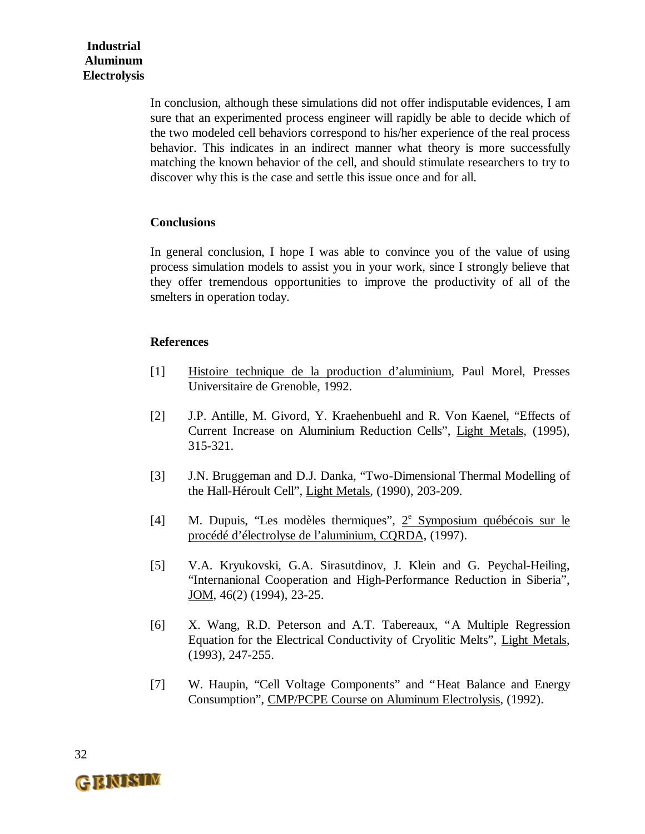In conclusion, although these simulations did not offer indisputable evidences, I am sure that an experimented process engineer will rapidly be able to decide which of the two modeled cell behaviors correspond to his/her experience of the real process behavior. This indicates in an indirect manner what theory is more successfully matching the known behavior of the cell, and should stimulate researchers to try to discover why this is the case and settle this issue once and for all.

#### **Conclusions**

In general conclusion, I hope I was able to convince you of the value of using process simulation models to assist you in your work, since I strongly believe that they offer tremendous opportunities to improve the productivity of all of the smelters in operation today.

#### **References**

- [1] Histoire technique de la production d'aluminium, Paul Morel, Presses Universitaire de Grenoble, 1992.
- [2] J.P. Antille, M. Givord, Y. Kraehenbuehl and R. Von Kaenel, "Effects of Current Increase on Aluminium Reduction Cells", Light Metals, (1995), 315-321.
- [3] J.N. Bruggeman and D.J. Danka, "Two-Dimensional Thermal Modelling of the Hall-Héroult Cell", Light Metals, (1990), 203-209.
- [4] M. Dupuis, "Les modèles thermiques",  $2^e$  Symposium québécois sur le procédé d'électrolyse de l'aluminium, CQRDA, (1997).
- [5] V.A. Kryukovski, G.A. Sirasutdinov, J. Klein and G. Peychal-Heiling, "Internanional Cooperation and High-Performance Reduction in Siberia",  $JOM$ , 46(2) (1994), 23-25.
- [6] X. Wang, R.D. Peterson and A.T. Tabereaux, "A Multiple Regression Equation for the Electrical Conductivity of Cryolitic Melts", Light Metals, (1993), 247-255.
- [7] W. Haupin, "Cell Voltage Components" and "Heat Balance and Energy Consumption", CMP/PCPE Course on Aluminum Electrolysis, (1992).